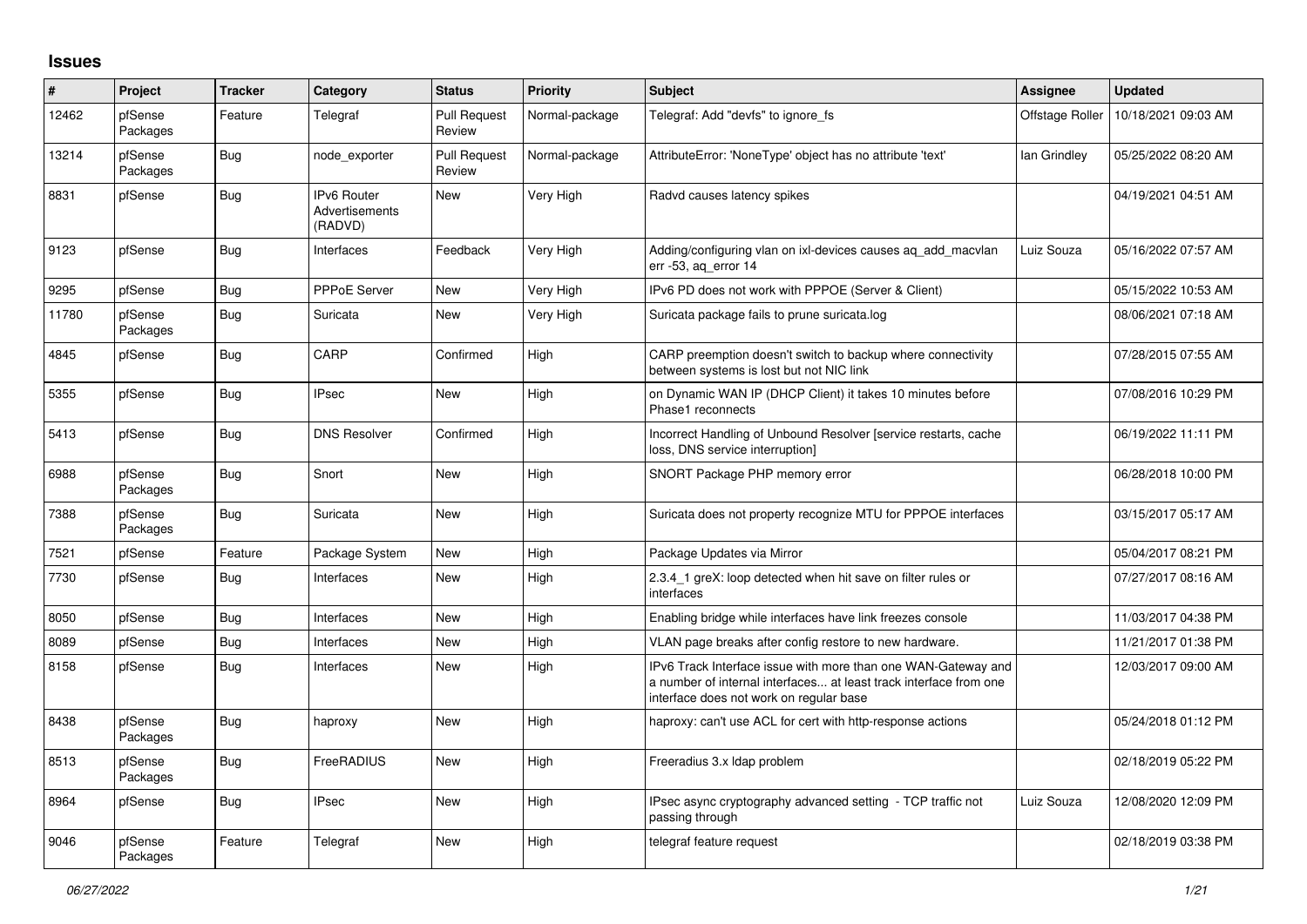## **Issues**

| #     | Project             | <b>Tracker</b> | Category                                 | <b>Status</b>                 | <b>Priority</b> | <b>Subject</b>                                                                                                                                                                | <b>Assignee</b> | <b>Updated</b>      |
|-------|---------------------|----------------|------------------------------------------|-------------------------------|-----------------|-------------------------------------------------------------------------------------------------------------------------------------------------------------------------------|-----------------|---------------------|
| 12462 | pfSense<br>Packages | Feature        | Telegraf                                 | <b>Pull Request</b><br>Review | Normal-package  | Telegraf: Add "devfs" to ignore fs                                                                                                                                            | Offstage Roller | 10/18/2021 09:03 AM |
| 13214 | pfSense<br>Packages | Bug            | node exporter                            | <b>Pull Request</b><br>Review | Normal-package  | AttributeError: 'NoneType' object has no attribute 'text'                                                                                                                     | lan Grindley    | 05/25/2022 08:20 AM |
| 8831  | pfSense             | Bug            | IPv6 Router<br>Advertisements<br>(RADVD) | <b>New</b>                    | Very High       | Radvd causes latency spikes                                                                                                                                                   |                 | 04/19/2021 04:51 AM |
| 9123  | pfSense             | <b>Bug</b>     | Interfaces                               | Feedback                      | Very High       | Adding/configuring vlan on ixl-devices causes aq_add_macvlan<br>err -53, aq_error 14                                                                                          | Luiz Souza      | 05/16/2022 07:57 AM |
| 9295  | pfSense             | Bug            | <b>PPPoE Server</b>                      | <b>New</b>                    | Very High       | IPv6 PD does not work with PPPOE (Server & Client)                                                                                                                            |                 | 05/15/2022 10:53 AM |
| 11780 | pfSense<br>Packages | Bug            | Suricata                                 | <b>New</b>                    | Very High       | Suricata package fails to prune suricata.log                                                                                                                                  |                 | 08/06/2021 07:18 AM |
| 4845  | pfSense             | Bug            | CARP                                     | Confirmed                     | High            | CARP preemption doesn't switch to backup where connectivity<br>between systems is lost but not NIC link                                                                       |                 | 07/28/2015 07:55 AM |
| 5355  | pfSense             | Bug            | <b>IPsec</b>                             | <b>New</b>                    | High            | on Dynamic WAN IP (DHCP Client) it takes 10 minutes before<br>Phase1 reconnects                                                                                               |                 | 07/08/2016 10:29 PM |
| 5413  | pfSense             | Bug            | <b>DNS Resolver</b>                      | Confirmed                     | High            | Incorrect Handling of Unbound Resolver [service restarts, cache<br>loss, DNS service interruption]                                                                            |                 | 06/19/2022 11:11 PM |
| 6988  | pfSense<br>Packages | Bug            | Snort                                    | <b>New</b>                    | High            | SNORT Package PHP memory error                                                                                                                                                |                 | 06/28/2018 10:00 PM |
| 7388  | pfSense<br>Packages | Bug            | Suricata                                 | <b>New</b>                    | High            | Suricata does not property recognize MTU for PPPOE interfaces                                                                                                                 |                 | 03/15/2017 05:17 AM |
| 7521  | pfSense             | Feature        | Package System                           | New                           | High            | Package Updates via Mirror                                                                                                                                                    |                 | 05/04/2017 08:21 PM |
| 7730  | pfSense             | Bug            | Interfaces                               | <b>New</b>                    | High            | 2.3.4 1 greX: loop detected when hit save on filter rules or<br>interfaces                                                                                                    |                 | 07/27/2017 08:16 AM |
| 8050  | pfSense             | Bug            | Interfaces                               | New                           | High            | Enabling bridge while interfaces have link freezes console                                                                                                                    |                 | 11/03/2017 04:38 PM |
| 8089  | pfSense             | <b>Bug</b>     | Interfaces                               | <b>New</b>                    | High            | VLAN page breaks after config restore to new hardware.                                                                                                                        |                 | 11/21/2017 01:38 PM |
| 8158  | pfSense             | Bug            | Interfaces                               | <b>New</b>                    | High            | IPv6 Track Interface issue with more than one WAN-Gateway and<br>a number of internal interfaces at least track interface from one<br>interface does not work on regular base |                 | 12/03/2017 09:00 AM |
| 8438  | pfSense<br>Packages | Bug            | haproxy                                  | <b>New</b>                    | High            | haproxy: can't use ACL for cert with http-response actions                                                                                                                    |                 | 05/24/2018 01:12 PM |
| 8513  | pfSense<br>Packages | Bug            | FreeRADIUS                               | <b>New</b>                    | High            | Freeradius 3.x Idap problem                                                                                                                                                   |                 | 02/18/2019 05:22 PM |
| 8964  | pfSense             | Bug            | <b>IPsec</b>                             | <b>New</b>                    | High            | IPsec async cryptography advanced setting - TCP traffic not<br>passing through                                                                                                | Luiz Souza      | 12/08/2020 12:09 PM |
| 9046  | pfSense<br>Packages | Feature        | Telegraf                                 | <b>New</b>                    | High            | telegraf feature request                                                                                                                                                      |                 | 02/18/2019 03:38 PM |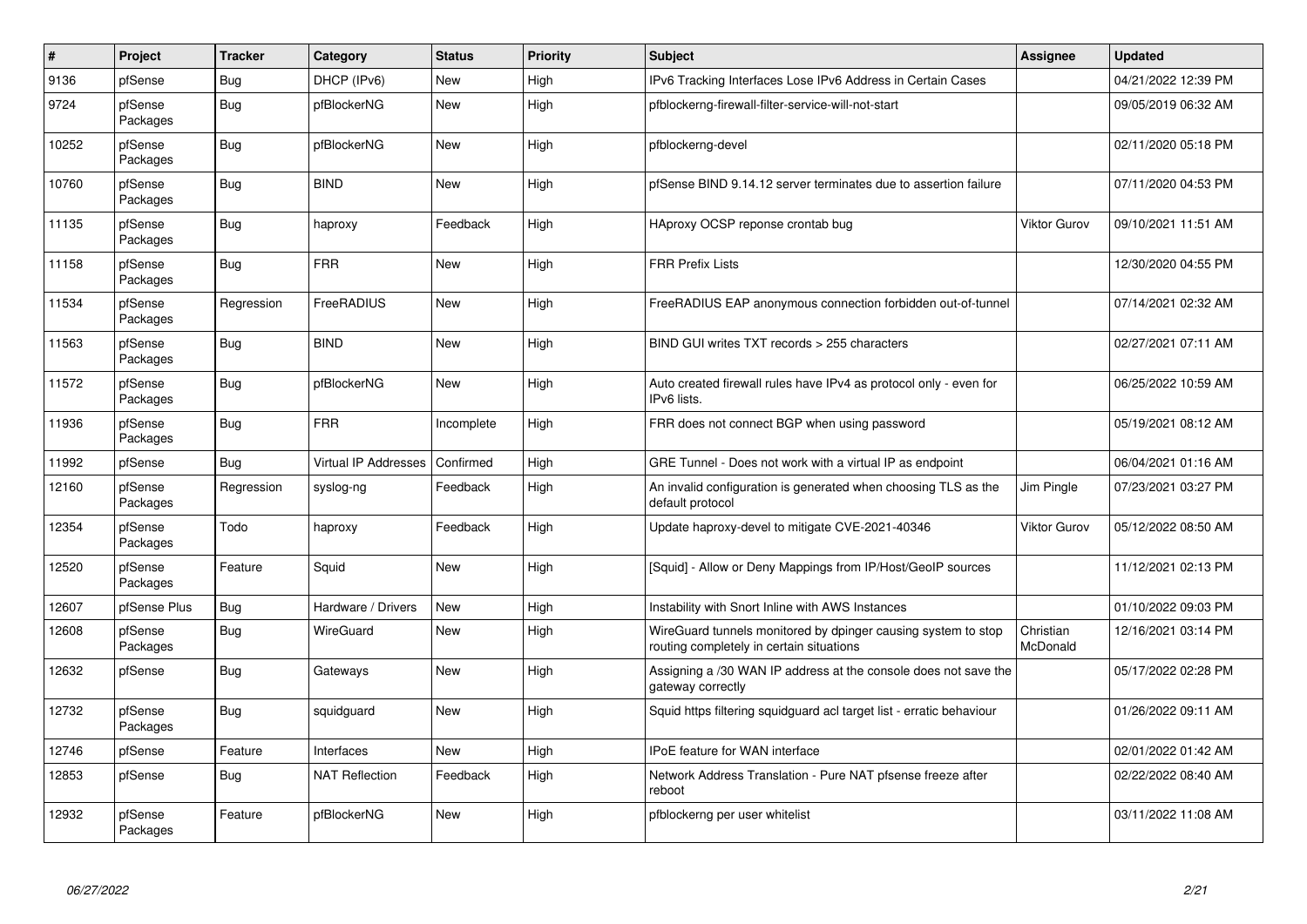| #     | Project             | <b>Tracker</b> | Category                    | <b>Status</b> | <b>Priority</b> | <b>Subject</b>                                                                                            | <b>Assignee</b>       | <b>Updated</b>      |
|-------|---------------------|----------------|-----------------------------|---------------|-----------------|-----------------------------------------------------------------------------------------------------------|-----------------------|---------------------|
| 9136  | pfSense             | Bug            | DHCP (IPv6)                 | <b>New</b>    | High            | IPv6 Tracking Interfaces Lose IPv6 Address in Certain Cases                                               |                       | 04/21/2022 12:39 PM |
| 9724  | pfSense<br>Packages | Bug            | pfBlockerNG                 | <b>New</b>    | High            | pfblockerng-firewall-filter-service-will-not-start                                                        |                       | 09/05/2019 06:32 AM |
| 10252 | pfSense<br>Packages | Bug            | pfBlockerNG                 | New           | High            | pfblockerng-devel                                                                                         |                       | 02/11/2020 05:18 PM |
| 10760 | pfSense<br>Packages | <b>Bug</b>     | <b>BIND</b>                 | New           | High            | pfSense BIND 9.14.12 server terminates due to assertion failure                                           |                       | 07/11/2020 04:53 PM |
| 11135 | pfSense<br>Packages | Bug            | haproxy                     | Feedback      | High            | HAproxy OCSP reponse crontab bug                                                                          | Viktor Gurov          | 09/10/2021 11:51 AM |
| 11158 | pfSense<br>Packages | Bug            | <b>FRR</b>                  | <b>New</b>    | High            | <b>FRR Prefix Lists</b>                                                                                   |                       | 12/30/2020 04:55 PM |
| 11534 | pfSense<br>Packages | Regression     | FreeRADIUS                  | <b>New</b>    | High            | FreeRADIUS EAP anonymous connection forbidden out-of-tunnel                                               |                       | 07/14/2021 02:32 AM |
| 11563 | pfSense<br>Packages | Bug            | <b>BIND</b>                 | <b>New</b>    | High            | BIND GUI writes TXT records > 255 characters                                                              |                       | 02/27/2021 07:11 AM |
| 11572 | pfSense<br>Packages | Bug            | pfBlockerNG                 | <b>New</b>    | High            | Auto created firewall rules have IPv4 as protocol only - even for<br>IPv6 lists.                          |                       | 06/25/2022 10:59 AM |
| 11936 | pfSense<br>Packages | Bug            | <b>FRR</b>                  | Incomplete    | High            | FRR does not connect BGP when using password                                                              |                       | 05/19/2021 08:12 AM |
| 11992 | pfSense             | Bug            | <b>Virtual IP Addresses</b> | Confirmed     | High            | GRE Tunnel - Does not work with a virtual IP as endpoint                                                  |                       | 06/04/2021 01:16 AM |
| 12160 | pfSense<br>Packages | Regression     | syslog-ng                   | Feedback      | High            | An invalid configuration is generated when choosing TLS as the<br>default protocol                        | Jim Pingle            | 07/23/2021 03:27 PM |
| 12354 | pfSense<br>Packages | Todo           | haproxy                     | Feedback      | High            | Update haproxy-devel to mitigate CVE-2021-40346                                                           | Viktor Gurov          | 05/12/2022 08:50 AM |
| 12520 | pfSense<br>Packages | Feature        | Squid                       | <b>New</b>    | High            | [Squid] - Allow or Deny Mappings from IP/Host/GeoIP sources                                               |                       | 11/12/2021 02:13 PM |
| 12607 | pfSense Plus        | <b>Bug</b>     | Hardware / Drivers          | New           | High            | Instability with Snort Inline with AWS Instances                                                          |                       | 01/10/2022 09:03 PM |
| 12608 | pfSense<br>Packages | <b>Bug</b>     | WireGuard                   | <b>New</b>    | High            | WireGuard tunnels monitored by dpinger causing system to stop<br>routing completely in certain situations | Christian<br>McDonald | 12/16/2021 03:14 PM |
| 12632 | pfSense             | Bug            | Gateways                    | New           | High            | Assigning a /30 WAN IP address at the console does not save the<br>gateway correctly                      |                       | 05/17/2022 02:28 PM |
| 12732 | pfSense<br>Packages | Bug            | squidguard                  | New           | High            | Squid https filtering squidguard acl target list - erratic behaviour                                      |                       | 01/26/2022 09:11 AM |
| 12746 | pfSense             | Feature        | Interfaces                  | New           | High            | <b>IPoE</b> feature for WAN interface                                                                     |                       | 02/01/2022 01:42 AM |
| 12853 | pfSense             | <b>Bug</b>     | <b>NAT Reflection</b>       | Feedback      | High            | Network Address Translation - Pure NAT pfsense freeze after<br>reboot                                     |                       | 02/22/2022 08:40 AM |
| 12932 | pfSense<br>Packages | Feature        | pfBlockerNG                 | <b>New</b>    | High            | pfblockerng per user whitelist                                                                            |                       | 03/11/2022 11:08 AM |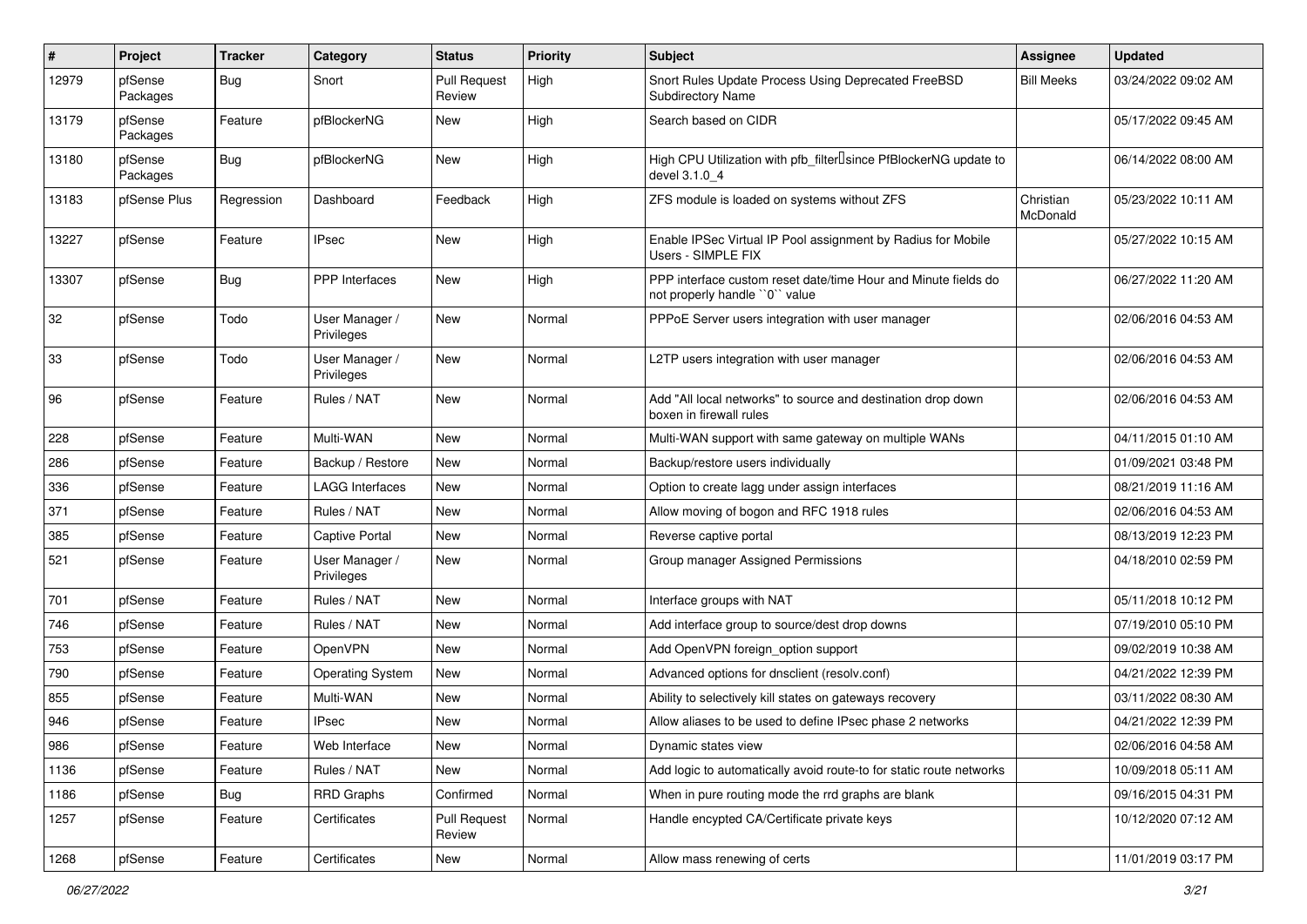| #     | Project             | <b>Tracker</b> | Category                     | <b>Status</b>                 | <b>Priority</b> | <b>Subject</b>                                                                                  | Assignee              | <b>Updated</b>      |
|-------|---------------------|----------------|------------------------------|-------------------------------|-----------------|-------------------------------------------------------------------------------------------------|-----------------------|---------------------|
| 12979 | pfSense<br>Packages | <b>Bug</b>     | Snort                        | <b>Pull Request</b><br>Review | High            | Snort Rules Update Process Using Deprecated FreeBSD<br><b>Subdirectory Name</b>                 | <b>Bill Meeks</b>     | 03/24/2022 09:02 AM |
| 13179 | pfSense<br>Packages | Feature        | pfBlockerNG                  | New                           | High            | Search based on CIDR                                                                            |                       | 05/17/2022 09:45 AM |
| 13180 | pfSense<br>Packages | <b>Bug</b>     | pfBlockerNG                  | New                           | High            | High CPU Utilization with pfb_filter <sup>[]</sup> since PfBlockerNG update to<br>devel 3.1.0 4 |                       | 06/14/2022 08:00 AM |
| 13183 | pfSense Plus        | Regression     | Dashboard                    | Feedback                      | High            | ZFS module is loaded on systems without ZFS                                                     | Christian<br>McDonald | 05/23/2022 10:11 AM |
| 13227 | pfSense             | Feature        | <b>IPsec</b>                 | New                           | High            | Enable IPSec Virtual IP Pool assignment by Radius for Mobile<br>Users - SIMPLE FIX              |                       | 05/27/2022 10:15 AM |
| 13307 | pfSense             | <b>Bug</b>     | PPP Interfaces               | New                           | High            | PPP interface custom reset date/time Hour and Minute fields do<br>not properly handle "0" value |                       | 06/27/2022 11:20 AM |
| 32    | pfSense             | Todo           | User Manager /<br>Privileges | New                           | Normal          | PPPoE Server users integration with user manager                                                |                       | 02/06/2016 04:53 AM |
| 33    | pfSense             | Todo           | User Manager /<br>Privileges | New                           | Normal          | L2TP users integration with user manager                                                        |                       | 02/06/2016 04:53 AM |
| 96    | pfSense             | Feature        | Rules / NAT                  | New                           | Normal          | Add "All local networks" to source and destination drop down<br>boxen in firewall rules         |                       | 02/06/2016 04:53 AM |
| 228   | pfSense             | Feature        | Multi-WAN                    | <b>New</b>                    | Normal          | Multi-WAN support with same gateway on multiple WANs                                            |                       | 04/11/2015 01:10 AM |
| 286   | pfSense             | Feature        | Backup / Restore             | New                           | Normal          | Backup/restore users individually                                                               |                       | 01/09/2021 03:48 PM |
| 336   | pfSense             | Feature        | LAGG Interfaces              | New                           | Normal          | Option to create lagg under assign interfaces                                                   |                       | 08/21/2019 11:16 AM |
| 371   | pfSense             | Feature        | Rules / NAT                  | New                           | Normal          | Allow moving of bogon and RFC 1918 rules                                                        |                       | 02/06/2016 04:53 AM |
| 385   | pfSense             | Feature        | Captive Portal               | New                           | Normal          | Reverse captive portal                                                                          |                       | 08/13/2019 12:23 PM |
| 521   | pfSense             | Feature        | User Manager /<br>Privileges | New                           | Normal          | Group manager Assigned Permissions                                                              |                       | 04/18/2010 02:59 PM |
| 701   | pfSense             | Feature        | Rules / NAT                  | New                           | Normal          | Interface groups with NAT                                                                       |                       | 05/11/2018 10:12 PM |
| 746   | pfSense             | Feature        | Rules / NAT                  | New                           | Normal          | Add interface group to source/dest drop downs                                                   |                       | 07/19/2010 05:10 PM |
| 753   | pfSense             | Feature        | <b>OpenVPN</b>               | New                           | Normal          | Add OpenVPN foreign option support                                                              |                       | 09/02/2019 10:38 AM |
| 790   | pfSense             | Feature        | <b>Operating System</b>      | New                           | Normal          | Advanced options for dnsclient (resolv.conf)                                                    |                       | 04/21/2022 12:39 PM |
| 855   | pfSense             | Feature        | Multi-WAN                    | New                           | Normal          | Ability to selectively kill states on gateways recovery                                         |                       | 03/11/2022 08:30 AM |
| 946   | pfSense             | Feature        | <b>IPsec</b>                 | New                           | Normal          | Allow aliases to be used to define IPsec phase 2 networks                                       |                       | 04/21/2022 12:39 PM |
| 986   | pfSense             | Feature        | Web Interface                | New                           | Normal          | Dynamic states view                                                                             |                       | 02/06/2016 04:58 AM |
| 1136  | pfSense             | Feature        | Rules / NAT                  | New                           | Normal          | Add logic to automatically avoid route-to for static route networks                             |                       | 10/09/2018 05:11 AM |
| 1186  | pfSense             | Bug            | <b>RRD Graphs</b>            | Confirmed                     | Normal          | When in pure routing mode the rrd graphs are blank                                              |                       | 09/16/2015 04:31 PM |
| 1257  | pfSense             | Feature        | Certificates                 | <b>Pull Request</b><br>Review | Normal          | Handle encypted CA/Certificate private keys                                                     |                       | 10/12/2020 07:12 AM |
| 1268  | pfSense             | Feature        | Certificates                 | New                           | Normal          | Allow mass renewing of certs                                                                    |                       | 11/01/2019 03:17 PM |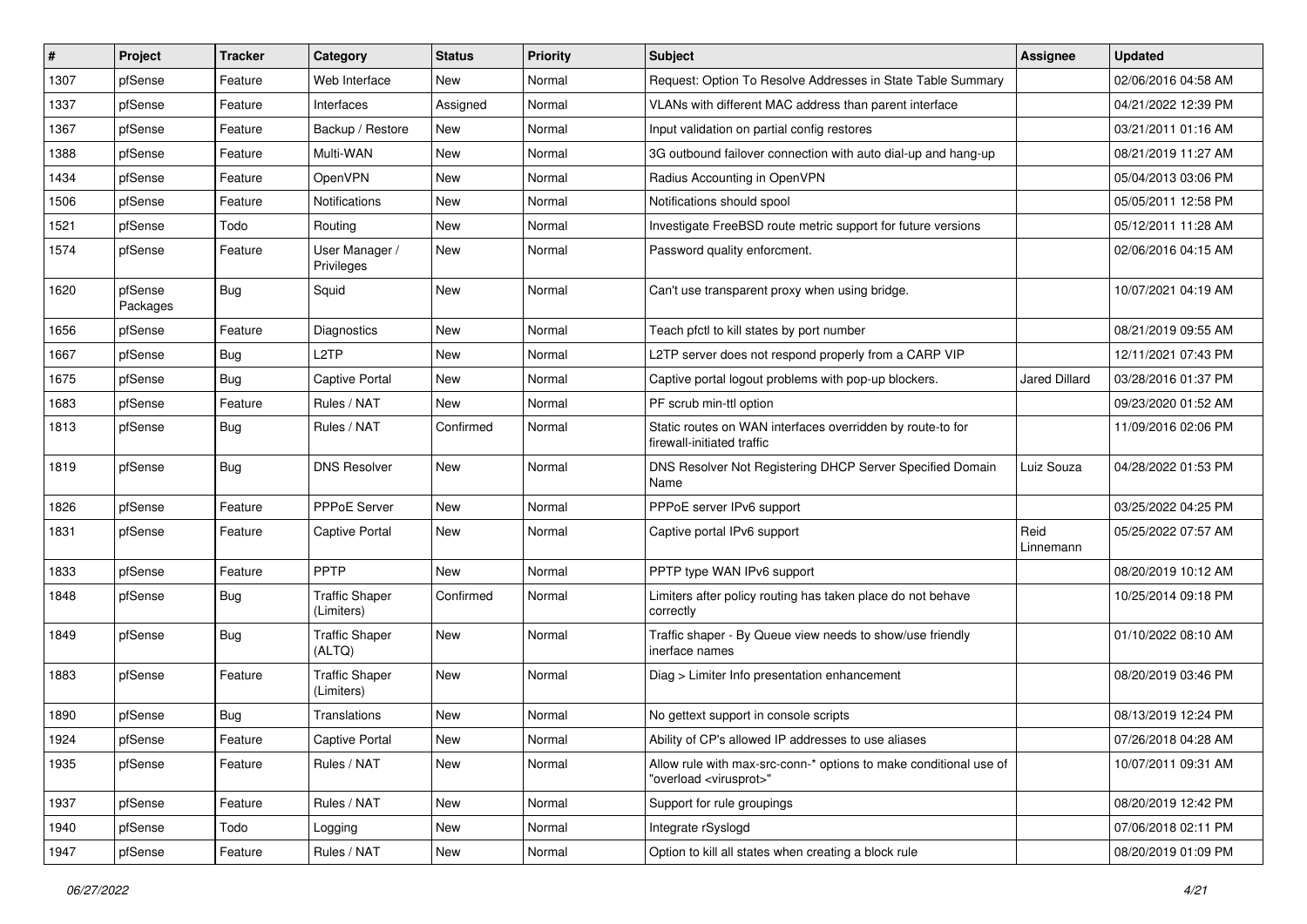| ∦    | Project             | <b>Tracker</b> | Category                            | <b>Status</b> | <b>Priority</b> | Subject                                                                                                 | <b>Assignee</b>   | <b>Updated</b>      |
|------|---------------------|----------------|-------------------------------------|---------------|-----------------|---------------------------------------------------------------------------------------------------------|-------------------|---------------------|
| 1307 | pfSense             | Feature        | Web Interface                       | New           | Normal          | Request: Option To Resolve Addresses in State Table Summary                                             |                   | 02/06/2016 04:58 AM |
| 1337 | pfSense             | Feature        | Interfaces                          | Assigned      | Normal          | VLANs with different MAC address than parent interface                                                  |                   | 04/21/2022 12:39 PM |
| 1367 | pfSense             | Feature        | Backup / Restore                    | New           | Normal          | Input validation on partial config restores                                                             |                   | 03/21/2011 01:16 AM |
| 1388 | pfSense             | Feature        | Multi-WAN                           | New           | Normal          | 3G outbound failover connection with auto dial-up and hang-up                                           |                   | 08/21/2019 11:27 AM |
| 1434 | pfSense             | Feature        | OpenVPN                             | New           | Normal          | Radius Accounting in OpenVPN                                                                            |                   | 05/04/2013 03:06 PM |
| 1506 | pfSense             | Feature        | Notifications                       | New           | Normal          | Notifications should spool                                                                              |                   | 05/05/2011 12:58 PM |
| 1521 | pfSense             | Todo           | Routing                             | New           | Normal          | Investigate FreeBSD route metric support for future versions                                            |                   | 05/12/2011 11:28 AM |
| 1574 | pfSense             | Feature        | User Manager /<br>Privileges        | New           | Normal          | Password quality enforcment.                                                                            |                   | 02/06/2016 04:15 AM |
| 1620 | pfSense<br>Packages | <b>Bug</b>     | Squid                               | New           | Normal          | Can't use transparent proxy when using bridge.                                                          |                   | 10/07/2021 04:19 AM |
| 1656 | pfSense             | Feature        | <b>Diagnostics</b>                  | New           | Normal          | Teach pfctl to kill states by port number                                                               |                   | 08/21/2019 09:55 AM |
| 1667 | pfSense             | <b>Bug</b>     | L <sub>2</sub> TP                   | New           | Normal          | L2TP server does not respond properly from a CARP VIP                                                   |                   | 12/11/2021 07:43 PM |
| 1675 | pfSense             | Bug            | Captive Portal                      | New           | Normal          | Captive portal logout problems with pop-up blockers.                                                    | Jared Dillard     | 03/28/2016 01:37 PM |
| 1683 | pfSense             | Feature        | Rules / NAT                         | New           | Normal          | PF scrub min-ttl option                                                                                 |                   | 09/23/2020 01:52 AM |
| 1813 | pfSense             | <b>Bug</b>     | Rules / NAT                         | Confirmed     | Normal          | Static routes on WAN interfaces overridden by route-to for<br>firewall-initiated traffic                |                   | 11/09/2016 02:06 PM |
| 1819 | pfSense             | <b>Bug</b>     | <b>DNS Resolver</b>                 | New           | Normal          | DNS Resolver Not Registering DHCP Server Specified Domain<br>Name                                       | Luiz Souza        | 04/28/2022 01:53 PM |
| 1826 | pfSense             | Feature        | PPPoE Server                        | New           | Normal          | PPPoE server IPv6 support                                                                               |                   | 03/25/2022 04:25 PM |
| 1831 | pfSense             | Feature        | Captive Portal                      | New           | Normal          | Captive portal IPv6 support                                                                             | Reid<br>Linnemann | 05/25/2022 07:57 AM |
| 1833 | pfSense             | Feature        | PPTP                                | New           | Normal          | PPTP type WAN IPv6 support                                                                              |                   | 08/20/2019 10:12 AM |
| 1848 | pfSense             | <b>Bug</b>     | <b>Traffic Shaper</b><br>(Limiters) | Confirmed     | Normal          | Limiters after policy routing has taken place do not behave<br>correctly                                |                   | 10/25/2014 09:18 PM |
| 1849 | pfSense             | <b>Bug</b>     | <b>Traffic Shaper</b><br>(ALTQ)     | New           | Normal          | Traffic shaper - By Queue view needs to show/use friendly<br>inerface names                             |                   | 01/10/2022 08:10 AM |
| 1883 | pfSense             | Feature        | <b>Traffic Shaper</b><br>(Limiters) | New           | Normal          | Diag > Limiter Info presentation enhancement                                                            |                   | 08/20/2019 03:46 PM |
| 1890 | pfSense             | <b>Bug</b>     | Translations                        | New           | Normal          | No gettext support in console scripts                                                                   |                   | 08/13/2019 12:24 PM |
| 1924 | pfSense             | Feature        | Captive Portal                      | New           | Normal          | Ability of CP's allowed IP addresses to use aliases                                                     |                   | 07/26/2018 04:28 AM |
| 1935 | pfSense             | Feature        | Rules / NAT                         | New           | Normal          | Allow rule with max-src-conn-* options to make conditional use of<br>"overload <virusprot>"</virusprot> |                   | 10/07/2011 09:31 AM |
| 1937 | pfSense             | Feature        | Rules / NAT                         | New           | Normal          | Support for rule groupings                                                                              |                   | 08/20/2019 12:42 PM |
| 1940 | pfSense             | Todo           | Logging                             | New           | Normal          | Integrate rSyslogd                                                                                      |                   | 07/06/2018 02:11 PM |
| 1947 | pfSense             | Feature        | Rules / NAT                         | New           | Normal          | Option to kill all states when creating a block rule                                                    |                   | 08/20/2019 01:09 PM |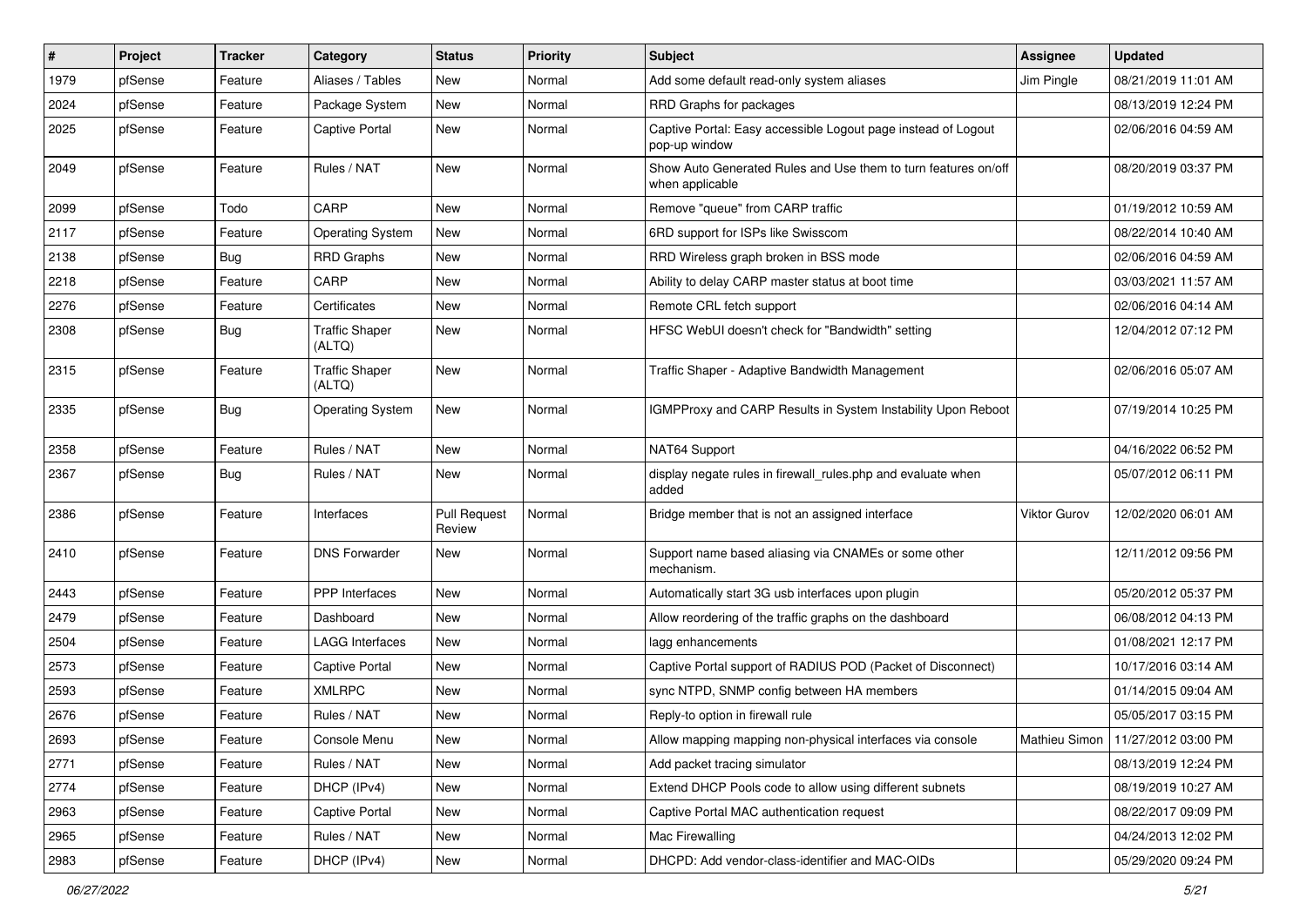| #    | Project | Tracker    | Category                        | <b>Status</b>                 | <b>Priority</b> | <b>Subject</b>                                                                    | <b>Assignee</b> | <b>Updated</b>                      |
|------|---------|------------|---------------------------------|-------------------------------|-----------------|-----------------------------------------------------------------------------------|-----------------|-------------------------------------|
| 1979 | pfSense | Feature    | Aliases / Tables                | New                           | Normal          | Add some default read-only system aliases                                         | Jim Pingle      | 08/21/2019 11:01 AM                 |
| 2024 | pfSense | Feature    | Package System                  | New                           | Normal          | RRD Graphs for packages                                                           |                 | 08/13/2019 12:24 PM                 |
| 2025 | pfSense | Feature    | Captive Portal                  | New                           | Normal          | Captive Portal: Easy accessible Logout page instead of Logout<br>pop-up window    |                 | 02/06/2016 04:59 AM                 |
| 2049 | pfSense | Feature    | Rules / NAT                     | New                           | Normal          | Show Auto Generated Rules and Use them to turn features on/off<br>when applicable |                 | 08/20/2019 03:37 PM                 |
| 2099 | pfSense | Todo       | CARP                            | New                           | Normal          | Remove "queue" from CARP traffic                                                  |                 | 01/19/2012 10:59 AM                 |
| 2117 | pfSense | Feature    | <b>Operating System</b>         | <b>New</b>                    | Normal          | 6RD support for ISPs like Swisscom                                                |                 | 08/22/2014 10:40 AM                 |
| 2138 | pfSense | <b>Bug</b> | <b>RRD Graphs</b>               | New                           | Normal          | RRD Wireless graph broken in BSS mode                                             |                 | 02/06/2016 04:59 AM                 |
| 2218 | pfSense | Feature    | CARP                            | New                           | Normal          | Ability to delay CARP master status at boot time                                  |                 | 03/03/2021 11:57 AM                 |
| 2276 | pfSense | Feature    | Certificates                    | New                           | Normal          | Remote CRL fetch support                                                          |                 | 02/06/2016 04:14 AM                 |
| 2308 | pfSense | <b>Bug</b> | <b>Traffic Shaper</b><br>(ALTQ) | New                           | Normal          | HFSC WebUI doesn't check for "Bandwidth" setting                                  |                 | 12/04/2012 07:12 PM                 |
| 2315 | pfSense | Feature    | <b>Traffic Shaper</b><br>(ALTQ) | New                           | Normal          | Traffic Shaper - Adaptive Bandwidth Management                                    |                 | 02/06/2016 05:07 AM                 |
| 2335 | pfSense | <b>Bug</b> | <b>Operating System</b>         | New                           | Normal          | <b>IGMPProxy and CARP Results in System Instability Upon Reboot</b>               |                 | 07/19/2014 10:25 PM                 |
| 2358 | pfSense | Feature    | Rules / NAT                     | New                           | Normal          | NAT64 Support                                                                     |                 | 04/16/2022 06:52 PM                 |
| 2367 | pfSense | Bug        | Rules / NAT                     | New                           | Normal          | display negate rules in firewall_rules.php and evaluate when<br>added             |                 | 05/07/2012 06:11 PM                 |
| 2386 | pfSense | Feature    | Interfaces                      | <b>Pull Request</b><br>Review | Normal          | Bridge member that is not an assigned interface                                   | Viktor Gurov    | 12/02/2020 06:01 AM                 |
| 2410 | pfSense | Feature    | <b>DNS Forwarder</b>            | New                           | Normal          | Support name based aliasing via CNAMEs or some other<br>mechanism.                |                 | 12/11/2012 09:56 PM                 |
| 2443 | pfSense | Feature    | PPP Interfaces                  | New                           | Normal          | Automatically start 3G usb interfaces upon plugin                                 |                 | 05/20/2012 05:37 PM                 |
| 2479 | pfSense | Feature    | Dashboard                       | New                           | Normal          | Allow reordering of the traffic graphs on the dashboard                           |                 | 06/08/2012 04:13 PM                 |
| 2504 | pfSense | Feature    | LAGG Interfaces                 | New                           | Normal          | lagg enhancements                                                                 |                 | 01/08/2021 12:17 PM                 |
| 2573 | pfSense | Feature    | Captive Portal                  | New                           | Normal          | Captive Portal support of RADIUS POD (Packet of Disconnect)                       |                 | 10/17/2016 03:14 AM                 |
| 2593 | pfSense | Feature    | <b>XMLRPC</b>                   | New                           | Normal          | sync NTPD, SNMP config between HA members                                         |                 | 01/14/2015 09:04 AM                 |
| 2676 | pfSense | Feature    | Rules / NAT                     | New                           | Normal          | Reply-to option in firewall rule                                                  |                 | 05/05/2017 03:15 PM                 |
| 2693 | pfSense | Feature    | Console Menu                    | New                           | Normal          | Allow mapping mapping non-physical interfaces via console                         |                 | Mathieu Simon   11/27/2012 03:00 PM |
| 2771 | pfSense | Feature    | Rules / NAT                     | New                           | Normal          | Add packet tracing simulator                                                      |                 | 08/13/2019 12:24 PM                 |
| 2774 | pfSense | Feature    | DHCP (IPv4)                     | New                           | Normal          | Extend DHCP Pools code to allow using different subnets                           |                 | 08/19/2019 10:27 AM                 |
| 2963 | pfSense | Feature    | Captive Portal                  | New                           | Normal          | Captive Portal MAC authentication request                                         |                 | 08/22/2017 09:09 PM                 |
| 2965 | pfSense | Feature    | Rules / NAT                     | New                           | Normal          | Mac Firewalling                                                                   |                 | 04/24/2013 12:02 PM                 |
| 2983 | pfSense | Feature    | DHCP (IPv4)                     | New                           | Normal          | DHCPD: Add vendor-class-identifier and MAC-OIDs                                   |                 | 05/29/2020 09:24 PM                 |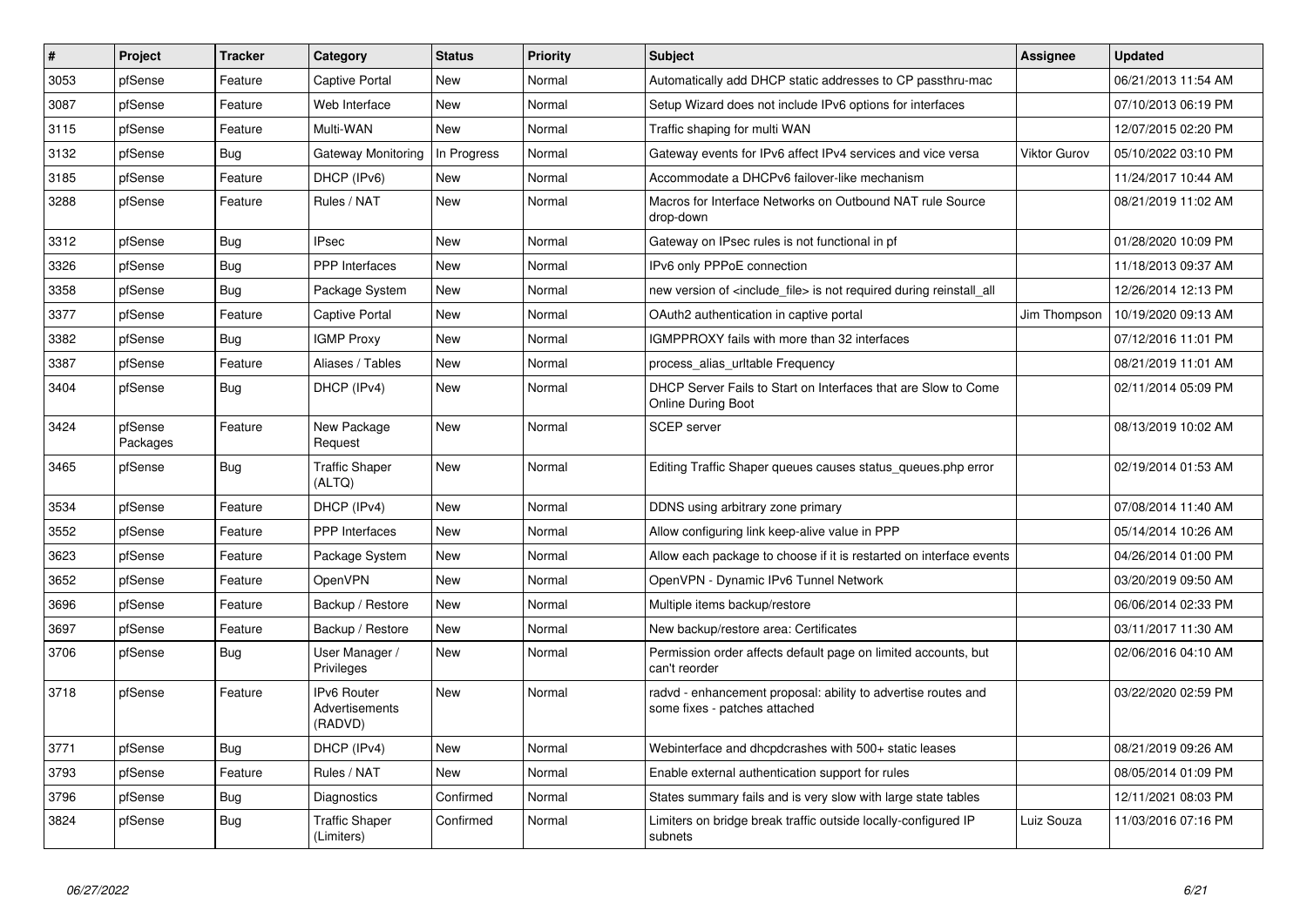| #    | Project             | <b>Tracker</b> | Category                                        | <b>Status</b> | <b>Priority</b> | <b>Subject</b>                                                                                 | <b>Assignee</b> | <b>Updated</b>      |
|------|---------------------|----------------|-------------------------------------------------|---------------|-----------------|------------------------------------------------------------------------------------------------|-----------------|---------------------|
| 3053 | pfSense             | Feature        | Captive Portal                                  | <b>New</b>    | Normal          | Automatically add DHCP static addresses to CP passthru-mac                                     |                 | 06/21/2013 11:54 AM |
| 3087 | pfSense             | Feature        | Web Interface                                   | <b>New</b>    | Normal          | Setup Wizard does not include IPv6 options for interfaces                                      |                 | 07/10/2013 06:19 PM |
| 3115 | pfSense             | Feature        | Multi-WAN                                       | New           | Normal          | Traffic shaping for multi WAN                                                                  |                 | 12/07/2015 02:20 PM |
| 3132 | pfSense             | <b>Bug</b>     | Gateway Monitoring                              | In Progress   | Normal          | Gateway events for IPv6 affect IPv4 services and vice versa                                    | Viktor Gurov    | 05/10/2022 03:10 PM |
| 3185 | pfSense             | Feature        | DHCP (IPv6)                                     | New           | Normal          | Accommodate a DHCPv6 failover-like mechanism                                                   |                 | 11/24/2017 10:44 AM |
| 3288 | pfSense             | Feature        | Rules / NAT                                     | New           | Normal          | Macros for Interface Networks on Outbound NAT rule Source<br>drop-down                         |                 | 08/21/2019 11:02 AM |
| 3312 | pfSense             | <b>Bug</b>     | <b>IPsec</b>                                    | <b>New</b>    | Normal          | Gateway on IPsec rules is not functional in pf                                                 |                 | 01/28/2020 10:09 PM |
| 3326 | pfSense             | Bug            | <b>PPP</b> Interfaces                           | <b>New</b>    | Normal          | IPv6 only PPPoE connection                                                                     |                 | 11/18/2013 09:37 AM |
| 3358 | pfSense             | Bug            | Package System                                  | New           | Normal          | new version of <include file=""> is not required during reinstall all</include>                |                 | 12/26/2014 12:13 PM |
| 3377 | pfSense             | Feature        | Captive Portal                                  | <b>New</b>    | Normal          | OAuth2 authentication in captive portal                                                        | Jim Thompson    | 10/19/2020 09:13 AM |
| 3382 | pfSense             | Bug            | <b>IGMP Proxy</b>                               | New           | Normal          | IGMPPROXY fails with more than 32 interfaces                                                   |                 | 07/12/2016 11:01 PM |
| 3387 | pfSense             | Feature        | Aliases / Tables                                | New           | Normal          | process_alias_urltable Frequency                                                               |                 | 08/21/2019 11:01 AM |
| 3404 | pfSense             | <b>Bug</b>     | DHCP (IPv4)                                     | <b>New</b>    | Normal          | DHCP Server Fails to Start on Interfaces that are Slow to Come<br><b>Online During Boot</b>    |                 | 02/11/2014 05:09 PM |
| 3424 | pfSense<br>Packages | Feature        | New Package<br>Request                          | <b>New</b>    | Normal          | <b>SCEP</b> server                                                                             |                 | 08/13/2019 10:02 AM |
| 3465 | pfSense             | Bug            | <b>Traffic Shaper</b><br>(ALTQ)                 | New           | Normal          | Editing Traffic Shaper queues causes status queues.php error                                   |                 | 02/19/2014 01:53 AM |
| 3534 | pfSense             | Feature        | DHCP (IPv4)                                     | New           | Normal          | DDNS using arbitrary zone primary                                                              |                 | 07/08/2014 11:40 AM |
| 3552 | pfSense             | Feature        | PPP Interfaces                                  | New           | Normal          | Allow configuring link keep-alive value in PPP                                                 |                 | 05/14/2014 10:26 AM |
| 3623 | pfSense             | Feature        | Package System                                  | New           | Normal          | Allow each package to choose if it is restarted on interface events                            |                 | 04/26/2014 01:00 PM |
| 3652 | pfSense             | Feature        | OpenVPN                                         | New           | Normal          | OpenVPN - Dynamic IPv6 Tunnel Network                                                          |                 | 03/20/2019 09:50 AM |
| 3696 | pfSense             | Feature        | Backup / Restore                                | New           | Normal          | Multiple items backup/restore                                                                  |                 | 06/06/2014 02:33 PM |
| 3697 | pfSense             | Feature        | Backup / Restore                                | New           | Normal          | New backup/restore area: Certificates                                                          |                 | 03/11/2017 11:30 AM |
| 3706 | pfSense             | <b>Bug</b>     | User Manager /<br>Privileges                    | New           | Normal          | Permission order affects default page on limited accounts, but<br>can't reorder                |                 | 02/06/2016 04:10 AM |
| 3718 | pfSense             | Feature        | <b>IPv6 Router</b><br>Advertisements<br>(RADVD) | New           | Normal          | radvd - enhancement proposal: ability to advertise routes and<br>some fixes - patches attached |                 | 03/22/2020 02:59 PM |
| 3771 | pfSense             | Bug            | DHCP (IPv4)                                     | <b>New</b>    | Normal          | Webinterface and dhcpdcrashes with 500+ static leases                                          |                 | 08/21/2019 09:26 AM |
| 3793 | pfSense             | Feature        | Rules / NAT                                     | New           | Normal          | Enable external authentication support for rules                                               |                 | 08/05/2014 01:09 PM |
| 3796 | pfSense             | <b>Bug</b>     | Diagnostics                                     | Confirmed     | Normal          | States summary fails and is very slow with large state tables                                  |                 | 12/11/2021 08:03 PM |
| 3824 | pfSense             | Bug            | <b>Traffic Shaper</b><br>(Limiters)             | Confirmed     | Normal          | Limiters on bridge break traffic outside locally-configured IP<br>subnets                      | Luiz Souza      | 11/03/2016 07:16 PM |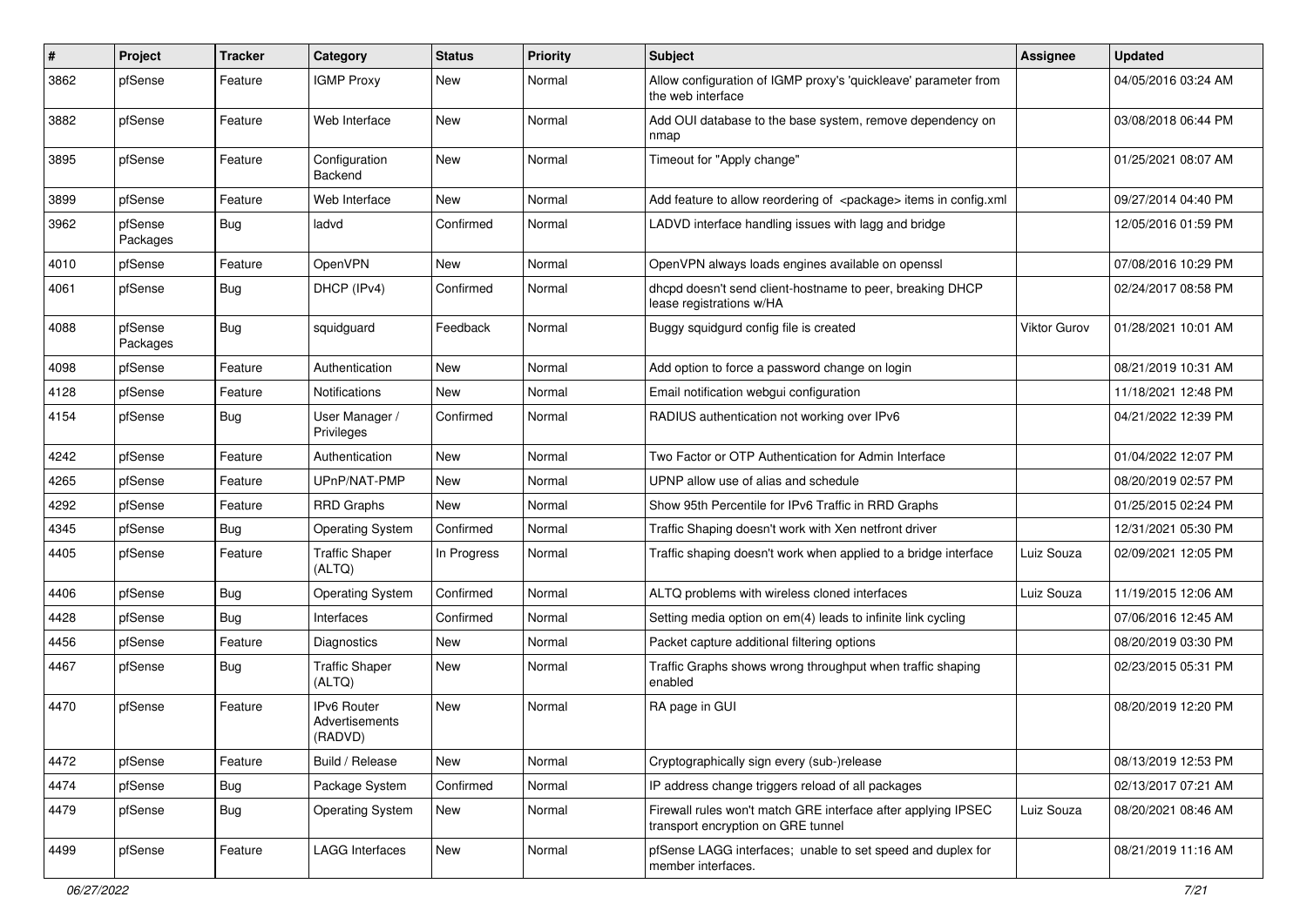| #    | Project             | <b>Tracker</b> | Category                                        | <b>Status</b> | <b>Priority</b> | Subject                                                                                             | <b>Assignee</b> | <b>Updated</b>      |
|------|---------------------|----------------|-------------------------------------------------|---------------|-----------------|-----------------------------------------------------------------------------------------------------|-----------------|---------------------|
| 3862 | pfSense             | Feature        | <b>IGMP Proxy</b>                               | New           | Normal          | Allow configuration of IGMP proxy's 'quickleave' parameter from<br>the web interface                |                 | 04/05/2016 03:24 AM |
| 3882 | pfSense             | Feature        | Web Interface                                   | New           | Normal          | Add OUI database to the base system, remove dependency on<br>nmap                                   |                 | 03/08/2018 06:44 PM |
| 3895 | pfSense             | Feature        | Configuration<br>Backend                        | New           | Normal          | Timeout for "Apply change"                                                                          |                 | 01/25/2021 08:07 AM |
| 3899 | pfSense             | Feature        | Web Interface                                   | New           | Normal          | Add feature to allow reordering of <package> items in config.xml</package>                          |                 | 09/27/2014 04:40 PM |
| 3962 | pfSense<br>Packages | Bug            | ladvd                                           | Confirmed     | Normal          | LADVD interface handling issues with lagg and bridge                                                |                 | 12/05/2016 01:59 PM |
| 4010 | pfSense             | Feature        | OpenVPN                                         | New           | Normal          | OpenVPN always loads engines available on openssl                                                   |                 | 07/08/2016 10:29 PM |
| 4061 | pfSense             | Bug            | DHCP (IPv4)                                     | Confirmed     | Normal          | dhcpd doesn't send client-hostname to peer, breaking DHCP<br>lease registrations w/HA               |                 | 02/24/2017 08:58 PM |
| 4088 | pfSense<br>Packages | Bug            | squidguard                                      | Feedback      | Normal          | Buggy squidgurd config file is created                                                              | Viktor Gurov    | 01/28/2021 10:01 AM |
| 4098 | pfSense             | Feature        | Authentication                                  | New           | Normal          | Add option to force a password change on login                                                      |                 | 08/21/2019 10:31 AM |
| 4128 | pfSense             | Feature        | <b>Notifications</b>                            | New           | Normal          | Email notification webgui configuration                                                             |                 | 11/18/2021 12:48 PM |
| 4154 | pfSense             | <b>Bug</b>     | User Manager /<br>Privileges                    | Confirmed     | Normal          | RADIUS authentication not working over IPv6                                                         |                 | 04/21/2022 12:39 PM |
| 4242 | pfSense             | Feature        | Authentication                                  | <b>New</b>    | Normal          | Two Factor or OTP Authentication for Admin Interface                                                |                 | 01/04/2022 12:07 PM |
| 4265 | pfSense             | Feature        | UPnP/NAT-PMP                                    | New           | Normal          | UPNP allow use of alias and schedule                                                                |                 | 08/20/2019 02:57 PM |
| 4292 | pfSense             | Feature        | <b>RRD Graphs</b>                               | New           | Normal          | Show 95th Percentile for IPv6 Traffic in RRD Graphs                                                 |                 | 01/25/2015 02:24 PM |
| 4345 | pfSense             | <b>Bug</b>     | <b>Operating System</b>                         | Confirmed     | Normal          | Traffic Shaping doesn't work with Xen netfront driver                                               |                 | 12/31/2021 05:30 PM |
| 4405 | pfSense             | Feature        | <b>Traffic Shaper</b><br>(ALTQ)                 | In Progress   | Normal          | Traffic shaping doesn't work when applied to a bridge interface                                     | Luiz Souza      | 02/09/2021 12:05 PM |
| 4406 | pfSense             | Bug            | <b>Operating System</b>                         | Confirmed     | Normal          | ALTQ problems with wireless cloned interfaces                                                       | Luiz Souza      | 11/19/2015 12:06 AM |
| 4428 | pfSense             | Bug            | Interfaces                                      | Confirmed     | Normal          | Setting media option on em(4) leads to infinite link cycling                                        |                 | 07/06/2016 12:45 AM |
| 4456 | pfSense             | Feature        | Diagnostics                                     | New           | Normal          | Packet capture additional filtering options                                                         |                 | 08/20/2019 03:30 PM |
| 4467 | pfSense             | <b>Bug</b>     | <b>Traffic Shaper</b><br>(ALTQ)                 | New           | Normal          | Traffic Graphs shows wrong throughput when traffic shaping<br>enabled                               |                 | 02/23/2015 05:31 PM |
| 4470 | pfSense             | Feature        | <b>IPv6 Router</b><br>Advertisements<br>(RADVD) | New           | Normal          | RA page in GUI                                                                                      |                 | 08/20/2019 12:20 PM |
| 4472 | pfSense             | Feature        | Build / Release                                 | New           | Normal          | Cryptographically sign every (sub-)release                                                          |                 | 08/13/2019 12:53 PM |
| 4474 | pfSense             | <b>Bug</b>     | Package System                                  | Confirmed     | Normal          | IP address change triggers reload of all packages                                                   |                 | 02/13/2017 07:21 AM |
| 4479 | pfSense             | <b>Bug</b>     | <b>Operating System</b>                         | New           | Normal          | Firewall rules won't match GRE interface after applying IPSEC<br>transport encryption on GRE tunnel | Luiz Souza      | 08/20/2021 08:46 AM |
| 4499 | pfSense             | Feature        | <b>LAGG Interfaces</b>                          | New           | Normal          | pfSense LAGG interfaces; unable to set speed and duplex for<br>member interfaces.                   |                 | 08/21/2019 11:16 AM |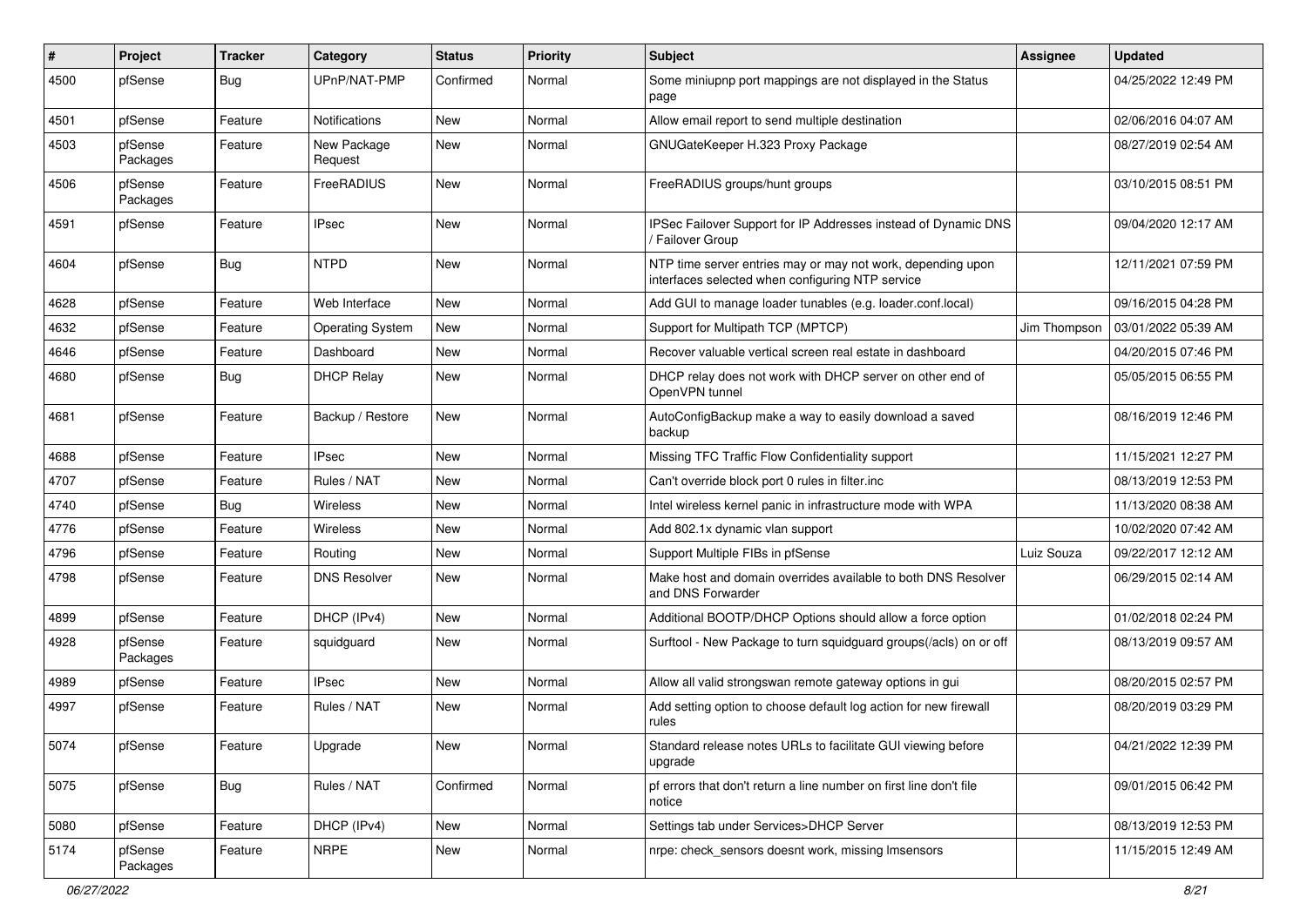| #    | Project             | <b>Tracker</b> | Category                | <b>Status</b> | <b>Priority</b> | <b>Subject</b>                                                                                                  | <b>Assignee</b> | <b>Updated</b>      |
|------|---------------------|----------------|-------------------------|---------------|-----------------|-----------------------------------------------------------------------------------------------------------------|-----------------|---------------------|
| 4500 | pfSense             | Bug            | UPnP/NAT-PMP            | Confirmed     | Normal          | Some miniupnp port mappings are not displayed in the Status<br>page                                             |                 | 04/25/2022 12:49 PM |
| 4501 | pfSense             | Feature        | Notifications           | New           | Normal          | Allow email report to send multiple destination                                                                 |                 | 02/06/2016 04:07 AM |
| 4503 | pfSense<br>Packages | Feature        | New Package<br>Request  | New           | Normal          | GNUGateKeeper H.323 Proxy Package                                                                               |                 | 08/27/2019 02:54 AM |
| 4506 | pfSense<br>Packages | Feature        | FreeRADIUS              | New           | Normal          | FreeRADIUS groups/hunt groups                                                                                   |                 | 03/10/2015 08:51 PM |
| 4591 | pfSense             | Feature        | <b>IPsec</b>            | New           | Normal          | IPSec Failover Support for IP Addresses instead of Dynamic DNS<br>/ Failover Group                              |                 | 09/04/2020 12:17 AM |
| 4604 | pfSense             | <b>Bug</b>     | <b>NTPD</b>             | New           | Normal          | NTP time server entries may or may not work, depending upon<br>interfaces selected when configuring NTP service |                 | 12/11/2021 07:59 PM |
| 4628 | pfSense             | Feature        | Web Interface           | New           | Normal          | Add GUI to manage loader tunables (e.g. loader.conf.local)                                                      |                 | 09/16/2015 04:28 PM |
| 4632 | pfSense             | Feature        | <b>Operating System</b> | New           | Normal          | Support for Multipath TCP (MPTCP)                                                                               | Jim Thompson    | 03/01/2022 05:39 AM |
| 4646 | pfSense             | Feature        | Dashboard               | New           | Normal          | Recover valuable vertical screen real estate in dashboard                                                       |                 | 04/20/2015 07:46 PM |
| 4680 | pfSense             | <b>Bug</b>     | <b>DHCP Relay</b>       | New           | Normal          | DHCP relay does not work with DHCP server on other end of<br>OpenVPN tunnel                                     |                 | 05/05/2015 06:55 PM |
| 4681 | pfSense             | Feature        | Backup / Restore        | New           | Normal          | AutoConfigBackup make a way to easily download a saved<br>backup                                                |                 | 08/16/2019 12:46 PM |
| 4688 | pfSense             | Feature        | <b>IPsec</b>            | <b>New</b>    | Normal          | Missing TFC Traffic Flow Confidentiality support                                                                |                 | 11/15/2021 12:27 PM |
| 4707 | pfSense             | Feature        | Rules / NAT             | New           | Normal          | Can't override block port 0 rules in filter.inc                                                                 |                 | 08/13/2019 12:53 PM |
| 4740 | pfSense             | Bug            | <b>Wireless</b>         | New           | Normal          | Intel wireless kernel panic in infrastructure mode with WPA                                                     |                 | 11/13/2020 08:38 AM |
| 4776 | pfSense             | Feature        | <b>Wireless</b>         | New           | Normal          | Add 802.1x dynamic vlan support                                                                                 |                 | 10/02/2020 07:42 AM |
| 4796 | pfSense             | Feature        | Routing                 | New           | Normal          | Support Multiple FIBs in pfSense                                                                                | Luiz Souza      | 09/22/2017 12:12 AM |
| 4798 | pfSense             | Feature        | <b>DNS Resolver</b>     | New           | Normal          | Make host and domain overrides available to both DNS Resolver<br>and DNS Forwarder                              |                 | 06/29/2015 02:14 AM |
| 4899 | pfSense             | Feature        | DHCP (IPv4)             | New           | Normal          | Additional BOOTP/DHCP Options should allow a force option                                                       |                 | 01/02/2018 02:24 PM |
| 4928 | pfSense<br>Packages | Feature        | squidguard              | New           | Normal          | Surftool - New Package to turn squidguard groups(/acls) on or off                                               |                 | 08/13/2019 09:57 AM |
| 4989 | pfSense             | Feature        | <b>IPsec</b>            | <b>New</b>    | Normal          | Allow all valid strongswan remote gateway options in gui                                                        |                 | 08/20/2015 02:57 PM |
| 4997 | pfSense             | Feature        | Rules / NAT             | New           | Normal          | Add setting option to choose default log action for new firewall<br>rules                                       |                 | 08/20/2019 03:29 PM |
| 5074 | pfSense             | Feature        | Upgrade                 | New           | Normal          | Standard release notes URLs to facilitate GUI viewing before<br>upgrade                                         |                 | 04/21/2022 12:39 PM |
| 5075 | pfSense             | Bug            | Rules / NAT             | Confirmed     | Normal          | pf errors that don't return a line number on first line don't file<br>notice                                    |                 | 09/01/2015 06:42 PM |
| 5080 | pfSense             | Feature        | DHCP (IPv4)             | New           | Normal          | Settings tab under Services>DHCP Server                                                                         |                 | 08/13/2019 12:53 PM |
| 5174 | pfSense<br>Packages | Feature        | <b>NRPE</b>             | New           | Normal          | nrpe: check sensors doesnt work, missing Imsensors                                                              |                 | 11/15/2015 12:49 AM |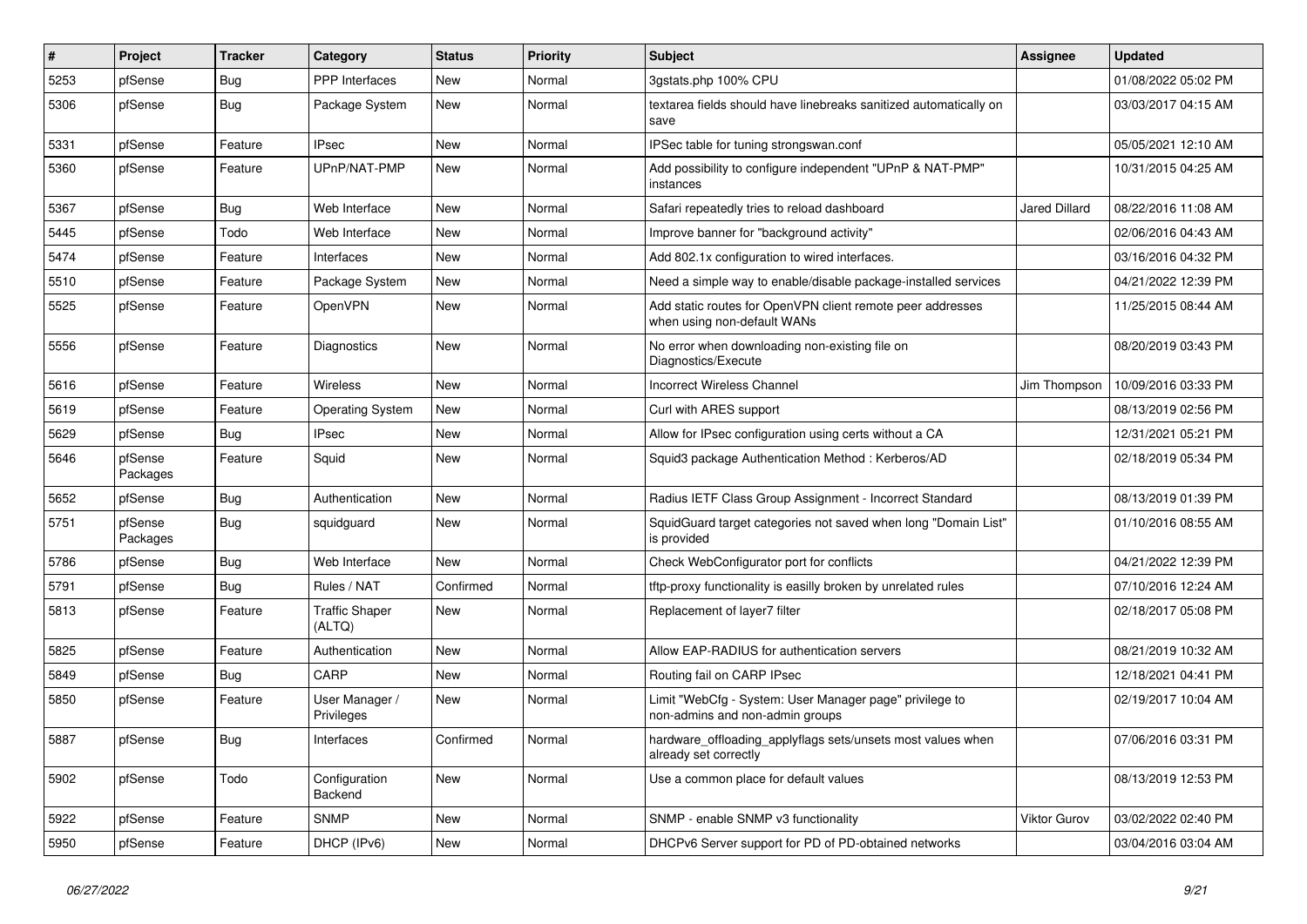| $\sharp$ | Project             | <b>Tracker</b> | Category                        | <b>Status</b> | <b>Priority</b> | <b>Subject</b>                                                                             | <b>Assignee</b>      | <b>Updated</b>      |
|----------|---------------------|----------------|---------------------------------|---------------|-----------------|--------------------------------------------------------------------------------------------|----------------------|---------------------|
| 5253     | pfSense             | Bug            | <b>PPP</b> Interfaces           | New           | Normal          | 3gstats.php 100% CPU                                                                       |                      | 01/08/2022 05:02 PM |
| 5306     | pfSense             | <b>Bug</b>     | Package System                  | New           | Normal          | textarea fields should have linebreaks sanitized automatically on<br>save                  |                      | 03/03/2017 04:15 AM |
| 5331     | pfSense             | Feature        | <b>IPsec</b>                    | <b>New</b>    | Normal          | IPSec table for tuning strongswan.conf                                                     |                      | 05/05/2021 12:10 AM |
| 5360     | pfSense             | Feature        | UPnP/NAT-PMP                    | New           | Normal          | Add possibility to configure independent "UPnP & NAT-PMP"<br>instances                     |                      | 10/31/2015 04:25 AM |
| 5367     | pfSense             | Bug            | Web Interface                   | New           | Normal          | Safari repeatedly tries to reload dashboard                                                | <b>Jared Dillard</b> | 08/22/2016 11:08 AM |
| 5445     | pfSense             | Todo           | Web Interface                   | New           | Normal          | Improve banner for "background activity"                                                   |                      | 02/06/2016 04:43 AM |
| 5474     | pfSense             | Feature        | Interfaces                      | New           | Normal          | Add 802.1x configuration to wired interfaces.                                              |                      | 03/16/2016 04:32 PM |
| 5510     | pfSense             | Feature        | Package System                  | New           | Normal          | Need a simple way to enable/disable package-installed services                             |                      | 04/21/2022 12:39 PM |
| 5525     | pfSense             | Feature        | OpenVPN                         | New           | Normal          | Add static routes for OpenVPN client remote peer addresses<br>when using non-default WANs  |                      | 11/25/2015 08:44 AM |
| 5556     | pfSense             | Feature        | Diagnostics                     | New           | Normal          | No error when downloading non-existing file on<br>Diagnostics/Execute                      |                      | 08/20/2019 03:43 PM |
| 5616     | pfSense             | Feature        | Wireless                        | <b>New</b>    | Normal          | <b>Incorrect Wireless Channel</b>                                                          | Jim Thompson         | 10/09/2016 03:33 PM |
| 5619     | pfSense             | Feature        | <b>Operating System</b>         | <b>New</b>    | Normal          | Curl with ARES support                                                                     |                      | 08/13/2019 02:56 PM |
| 5629     | pfSense             | Bug            | IPsec                           | New           | Normal          | Allow for IPsec configuration using certs without a CA                                     |                      | 12/31/2021 05:21 PM |
| 5646     | pfSense<br>Packages | Feature        | Squid                           | <b>New</b>    | Normal          | Squid3 package Authentication Method: Kerberos/AD                                          |                      | 02/18/2019 05:34 PM |
| 5652     | pfSense             | Bug            | Authentication                  | New           | Normal          | Radius IETF Class Group Assignment - Incorrect Standard                                    |                      | 08/13/2019 01:39 PM |
| 5751     | pfSense<br>Packages | Bug            | squidguard                      | New           | Normal          | SquidGuard target categories not saved when long "Domain List"<br>is provided              |                      | 01/10/2016 08:55 AM |
| 5786     | pfSense             | Bug            | Web Interface                   | <b>New</b>    | Normal          | Check WebConfigurator port for conflicts                                                   |                      | 04/21/2022 12:39 PM |
| 5791     | pfSense             | <b>Bug</b>     | Rules / NAT                     | Confirmed     | Normal          | tftp-proxy functionality is easilly broken by unrelated rules                              |                      | 07/10/2016 12:24 AM |
| 5813     | pfSense             | Feature        | <b>Traffic Shaper</b><br>(ALTQ) | New           | Normal          | Replacement of layer7 filter                                                               |                      | 02/18/2017 05:08 PM |
| 5825     | pfSense             | Feature        | Authentication                  | New           | Normal          | Allow EAP-RADIUS for authentication servers                                                |                      | 08/21/2019 10:32 AM |
| 5849     | pfSense             | <b>Bug</b>     | CARP                            | New           | Normal          | Routing fail on CARP IPsec                                                                 |                      | 12/18/2021 04:41 PM |
| 5850     | pfSense             | Feature        | User Manager /<br>Privileges    | New           | Normal          | Limit "WebCfg - System: User Manager page" privilege to<br>non-admins and non-admin groups |                      | 02/19/2017 10:04 AM |
| 5887     | pfSense             | Bug            | Interfaces                      | Confirmed     | Normal          | hardware_offloading_applyflags sets/unsets most values when<br>already set correctly       |                      | 07/06/2016 03:31 PM |
| 5902     | pfSense             | Todo           | Configuration<br>Backend        | New           | Normal          | Use a common place for default values                                                      |                      | 08/13/2019 12:53 PM |
| 5922     | pfSense             | Feature        | <b>SNMP</b>                     | New           | Normal          | SNMP - enable SNMP v3 functionality                                                        | Viktor Gurov         | 03/02/2022 02:40 PM |
| 5950     | pfSense             | Feature        | DHCP (IPv6)                     | New           | Normal          | DHCPv6 Server support for PD of PD-obtained networks                                       |                      | 03/04/2016 03:04 AM |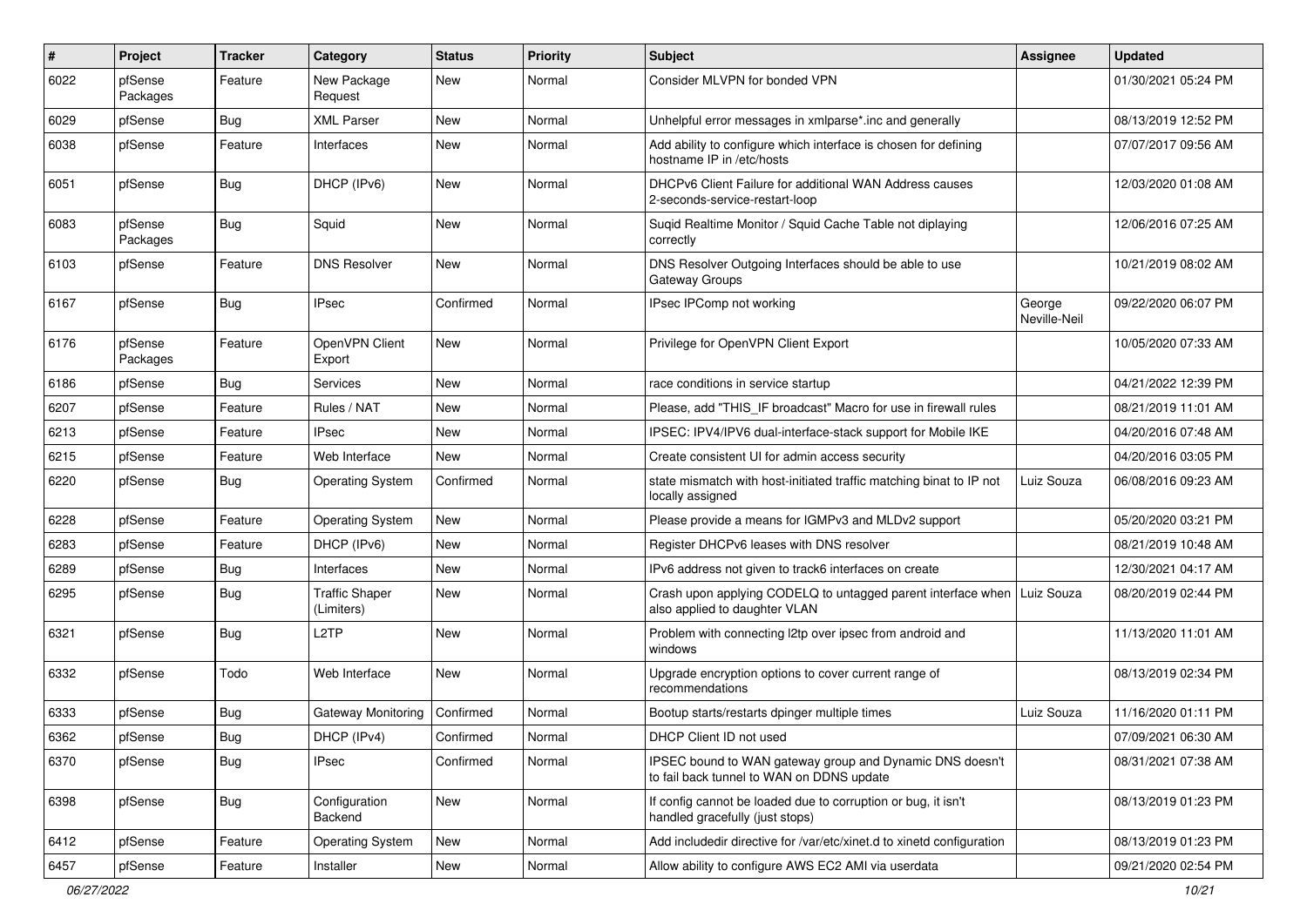| ∦    | Project             | <b>Tracker</b> | Category                            | <b>Status</b> | <b>Priority</b> | <b>Subject</b>                                                                                             | Assignee               | <b>Updated</b>      |
|------|---------------------|----------------|-------------------------------------|---------------|-----------------|------------------------------------------------------------------------------------------------------------|------------------------|---------------------|
| 6022 | pfSense<br>Packages | Feature        | New Package<br>Request              | New           | Normal          | Consider MLVPN for bonded VPN                                                                              |                        | 01/30/2021 05:24 PM |
| 6029 | pfSense             | Bug            | <b>XML Parser</b>                   | New           | Normal          | Unhelpful error messages in xmlparse*.inc and generally                                                    |                        | 08/13/2019 12:52 PM |
| 6038 | pfSense             | Feature        | Interfaces                          | New           | Normal          | Add ability to configure which interface is chosen for defining<br>hostname IP in /etc/hosts               |                        | 07/07/2017 09:56 AM |
| 6051 | pfSense             | Bug            | DHCP (IPv6)                         | New           | Normal          | DHCPv6 Client Failure for additional WAN Address causes<br>2-seconds-service-restart-loop                  |                        | 12/03/2020 01:08 AM |
| 6083 | pfSense<br>Packages | Bug            | Squid                               | <b>New</b>    | Normal          | Sugid Realtime Monitor / Squid Cache Table not diplaying<br>correctly                                      |                        | 12/06/2016 07:25 AM |
| 6103 | pfSense             | Feature        | <b>DNS Resolver</b>                 | New           | Normal          | DNS Resolver Outgoing Interfaces should be able to use<br>Gateway Groups                                   |                        | 10/21/2019 08:02 AM |
| 6167 | pfSense             | <b>Bug</b>     | <b>IPsec</b>                        | Confirmed     | Normal          | IPsec IPComp not working                                                                                   | George<br>Neville-Neil | 09/22/2020 06:07 PM |
| 6176 | pfSense<br>Packages | Feature        | OpenVPN Client<br>Export            | New           | Normal          | Privilege for OpenVPN Client Export                                                                        |                        | 10/05/2020 07:33 AM |
| 6186 | pfSense             | <b>Bug</b>     | Services                            | New           | Normal          | race conditions in service startup                                                                         |                        | 04/21/2022 12:39 PM |
| 6207 | pfSense             | Feature        | Rules / NAT                         | New           | Normal          | Please, add "THIS IF broadcast" Macro for use in firewall rules                                            |                        | 08/21/2019 11:01 AM |
| 6213 | pfSense             | Feature        | <b>IPsec</b>                        | New           | Normal          | IPSEC: IPV4/IPV6 dual-interface-stack support for Mobile IKE                                               |                        | 04/20/2016 07:48 AM |
| 6215 | pfSense             | Feature        | Web Interface                       | New           | Normal          | Create consistent UI for admin access security                                                             |                        | 04/20/2016 03:05 PM |
| 6220 | pfSense             | <b>Bug</b>     | <b>Operating System</b>             | Confirmed     | Normal          | state mismatch with host-initiated traffic matching binat to IP not<br>locally assigned                    | Luiz Souza             | 06/08/2016 09:23 AM |
| 6228 | pfSense             | Feature        | <b>Operating System</b>             | New           | Normal          | Please provide a means for IGMPv3 and MLDv2 support                                                        |                        | 05/20/2020 03:21 PM |
| 6283 | pfSense             | Feature        | DHCP (IPv6)                         | New           | Normal          | Register DHCPv6 leases with DNS resolver                                                                   |                        | 08/21/2019 10:48 AM |
| 6289 | pfSense             | Bug            | Interfaces                          | <b>New</b>    | Normal          | IPv6 address not given to track6 interfaces on create                                                      |                        | 12/30/2021 04:17 AM |
| 6295 | pfSense             | <b>Bug</b>     | <b>Traffic Shaper</b><br>(Limiters) | New           | Normal          | Crash upon applying CODELQ to untagged parent interface when   Luiz Souza<br>also applied to daughter VLAN |                        | 08/20/2019 02:44 PM |
| 6321 | pfSense             | Bug            | L <sub>2</sub> TP                   | New           | Normal          | Problem with connecting l2tp over ipsec from android and<br>windows                                        |                        | 11/13/2020 11:01 AM |
| 6332 | pfSense             | Todo           | Web Interface                       | New           | Normal          | Upgrade encryption options to cover current range of<br>recommendations                                    |                        | 08/13/2019 02:34 PM |
| 6333 | pfSense             | <b>Bug</b>     | Gateway Monitoring                  | Confirmed     | Normal          | Bootup starts/restarts dpinger multiple times                                                              | Luiz Souza             | 11/16/2020 01:11 PM |
| 6362 | pfSense             | <b>Bug</b>     | DHCP (IPv4)                         | Confirmed     | Normal          | DHCP Client ID not used                                                                                    |                        | 07/09/2021 06:30 AM |
| 6370 | pfSense             | <b>Bug</b>     | <b>IPsec</b>                        | Confirmed     | Normal          | IPSEC bound to WAN gateway group and Dynamic DNS doesn't<br>to fail back tunnel to WAN on DDNS update      |                        | 08/31/2021 07:38 AM |
| 6398 | pfSense             | Bug            | Configuration<br>Backend            | New           | Normal          | If config cannot be loaded due to corruption or bug, it isn't<br>handled gracefully (just stops)           |                        | 08/13/2019 01:23 PM |
| 6412 | pfSense             | Feature        | <b>Operating System</b>             | New           | Normal          | Add includedir directive for /var/etc/xinet.d to xinetd configuration                                      |                        | 08/13/2019 01:23 PM |
| 6457 | pfSense             | Feature        | Installer                           | New           | Normal          | Allow ability to configure AWS EC2 AMI via userdata                                                        |                        | 09/21/2020 02:54 PM |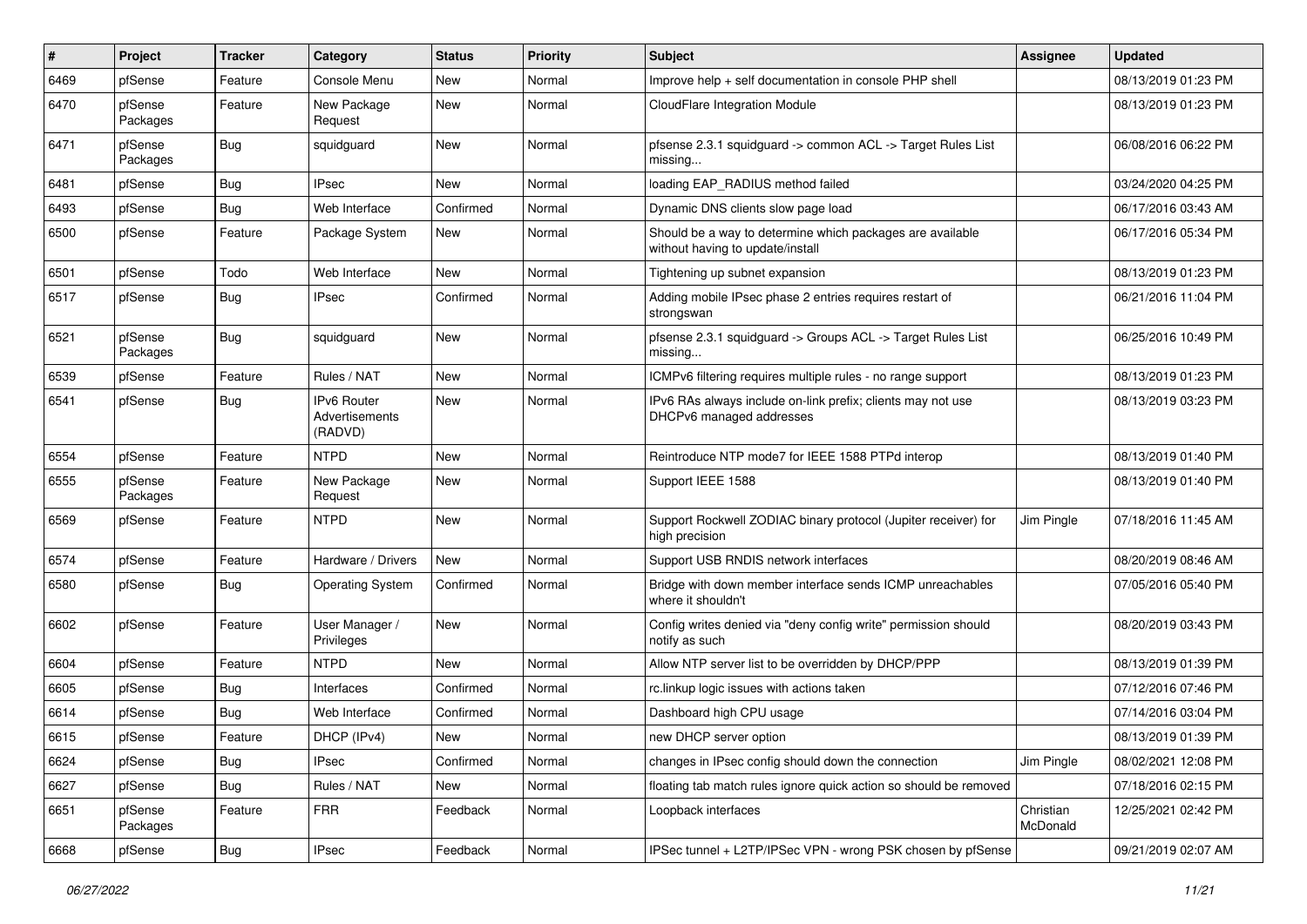| #    | Project             | <b>Tracker</b> | Category                                        | <b>Status</b> | <b>Priority</b> | <b>Subject</b>                                                                                | Assignee              | <b>Updated</b>      |
|------|---------------------|----------------|-------------------------------------------------|---------------|-----------------|-----------------------------------------------------------------------------------------------|-----------------------|---------------------|
| 6469 | pfSense             | Feature        | Console Menu                                    | New           | Normal          | Improve help + self documentation in console PHP shell                                        |                       | 08/13/2019 01:23 PM |
| 6470 | pfSense<br>Packages | Feature        | New Package<br>Request                          | New           | Normal          | CloudFlare Integration Module                                                                 |                       | 08/13/2019 01:23 PM |
| 6471 | pfSense<br>Packages | <b>Bug</b>     | squidguard                                      | New           | Normal          | pfsense 2.3.1 squidguard -> common ACL -> Target Rules List<br>missing                        |                       | 06/08/2016 06:22 PM |
| 6481 | pfSense             | Bug            | <b>IPsec</b>                                    | <b>New</b>    | Normal          | loading EAP RADIUS method failed                                                              |                       | 03/24/2020 04:25 PM |
| 6493 | pfSense             | Bug            | Web Interface                                   | Confirmed     | Normal          | Dynamic DNS clients slow page load                                                            |                       | 06/17/2016 03:43 AM |
| 6500 | pfSense             | Feature        | Package System                                  | <b>New</b>    | Normal          | Should be a way to determine which packages are available<br>without having to update/install |                       | 06/17/2016 05:34 PM |
| 6501 | pfSense             | Todo           | Web Interface                                   | <b>New</b>    | Normal          | Tightening up subnet expansion                                                                |                       | 08/13/2019 01:23 PM |
| 6517 | pfSense             | <b>Bug</b>     | <b>IPsec</b>                                    | Confirmed     | Normal          | Adding mobile IPsec phase 2 entries requires restart of<br>strongswan                         |                       | 06/21/2016 11:04 PM |
| 6521 | pfSense<br>Packages | Bug            | squidguard                                      | New           | Normal          | pfsense 2.3.1 squidguard -> Groups ACL -> Target Rules List<br>missing                        |                       | 06/25/2016 10:49 PM |
| 6539 | pfSense             | Feature        | Rules / NAT                                     | New           | Normal          | ICMPv6 filtering requires multiple rules - no range support                                   |                       | 08/13/2019 01:23 PM |
| 6541 | pfSense             | <b>Bug</b>     | <b>IPv6 Router</b><br>Advertisements<br>(RADVD) | New           | Normal          | IPv6 RAs always include on-link prefix; clients may not use<br>DHCPv6 managed addresses       |                       | 08/13/2019 03:23 PM |
| 6554 | pfSense             | Feature        | <b>NTPD</b>                                     | <b>New</b>    | Normal          | Reintroduce NTP mode7 for IEEE 1588 PTPd interop                                              |                       | 08/13/2019 01:40 PM |
| 6555 | pfSense<br>Packages | Feature        | New Package<br>Request                          | New           | Normal          | Support IEEE 1588                                                                             |                       | 08/13/2019 01:40 PM |
| 6569 | pfSense             | Feature        | <b>NTPD</b>                                     | <b>New</b>    | Normal          | Support Rockwell ZODIAC binary protocol (Jupiter receiver) for<br>high precision              | Jim Pingle            | 07/18/2016 11:45 AM |
| 6574 | pfSense             | Feature        | Hardware / Drivers                              | New           | Normal          | Support USB RNDIS network interfaces                                                          |                       | 08/20/2019 08:46 AM |
| 6580 | pfSense             | <b>Bug</b>     | <b>Operating System</b>                         | Confirmed     | Normal          | Bridge with down member interface sends ICMP unreachables<br>where it shouldn't               |                       | 07/05/2016 05:40 PM |
| 6602 | pfSense             | Feature        | User Manager /<br>Privileges                    | <b>New</b>    | Normal          | Config writes denied via "deny config write" permission should<br>notify as such              |                       | 08/20/2019 03:43 PM |
| 6604 | pfSense             | Feature        | <b>NTPD</b>                                     | New           | Normal          | Allow NTP server list to be overridden by DHCP/PPP                                            |                       | 08/13/2019 01:39 PM |
| 6605 | pfSense             | Bug            | Interfaces                                      | Confirmed     | Normal          | rc.linkup logic issues with actions taken                                                     |                       | 07/12/2016 07:46 PM |
| 6614 | pfSense             | <b>Bug</b>     | Web Interface                                   | Confirmed     | Normal          | Dashboard high CPU usage                                                                      |                       | 07/14/2016 03:04 PM |
| 6615 | pfSense             | Feature        | DHCP (IPv4)                                     | New           | Normal          | new DHCP server option                                                                        |                       | 08/13/2019 01:39 PM |
| 6624 | pfSense             | <b>Bug</b>     | <b>IPsec</b>                                    | Confirmed     | Normal          | changes in IPsec config should down the connection                                            | Jim Pingle            | 08/02/2021 12:08 PM |
| 6627 | pfSense             | <b>Bug</b>     | Rules / NAT                                     | New           | Normal          | floating tab match rules ignore quick action so should be removed                             |                       | 07/18/2016 02:15 PM |
| 6651 | pfSense<br>Packages | Feature        | <b>FRR</b>                                      | Feedback      | Normal          | Loopback interfaces                                                                           | Christian<br>McDonald | 12/25/2021 02:42 PM |
| 6668 | pfSense             | <b>Bug</b>     | <b>IPsec</b>                                    | Feedback      | Normal          | IPSec tunnel + L2TP/IPSec VPN - wrong PSK chosen by pfSense                                   |                       | 09/21/2019 02:07 AM |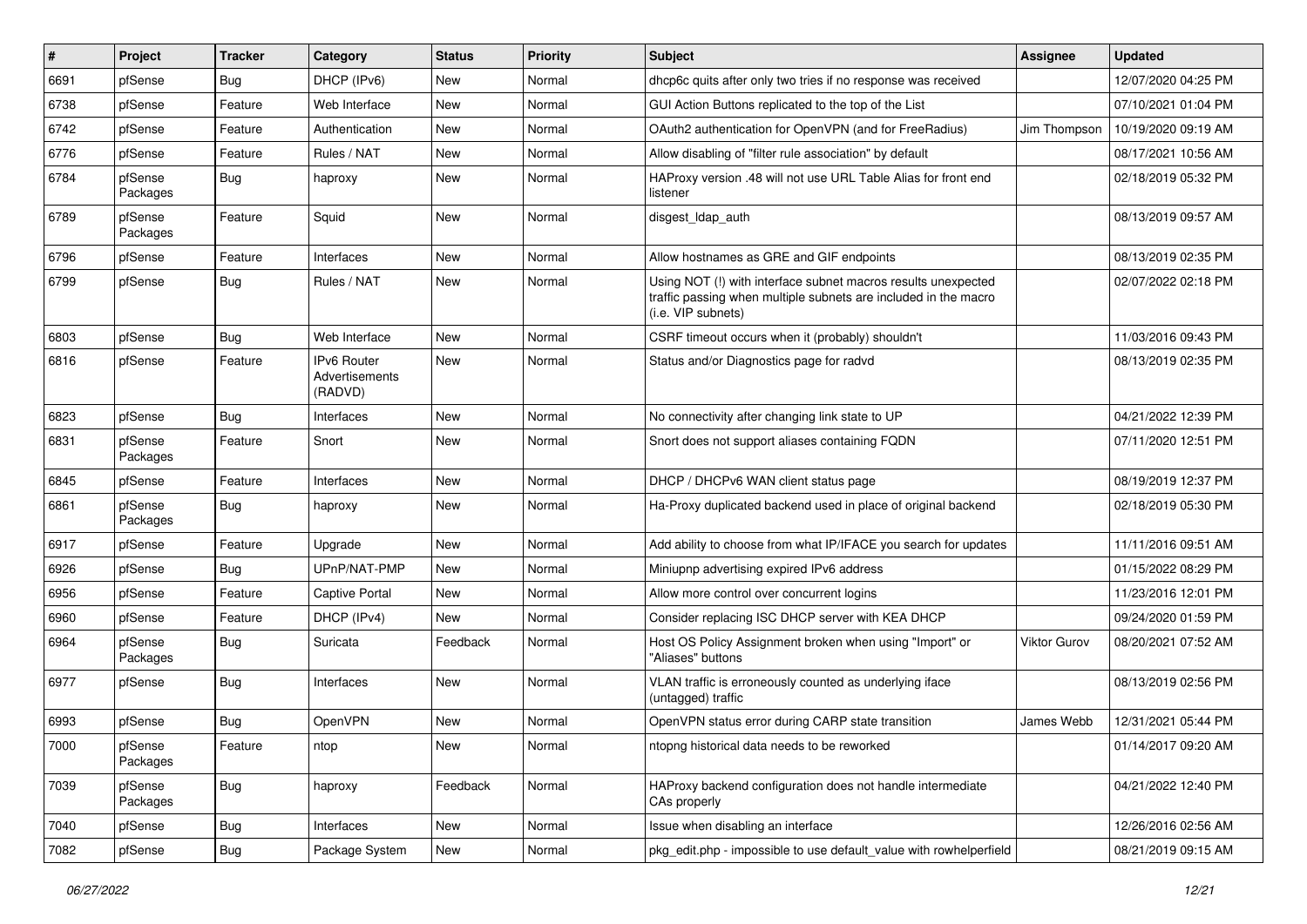| ∦    | Project             | <b>Tracker</b> | Category                                        | <b>Status</b> | <b>Priority</b> | <b>Subject</b>                                                                                                                                         | <b>Assignee</b> | <b>Updated</b>      |
|------|---------------------|----------------|-------------------------------------------------|---------------|-----------------|--------------------------------------------------------------------------------------------------------------------------------------------------------|-----------------|---------------------|
| 6691 | pfSense             | <b>Bug</b>     | DHCP (IPv6)                                     | New           | Normal          | dhcp6c quits after only two tries if no response was received                                                                                          |                 | 12/07/2020 04:25 PM |
| 6738 | pfSense             | Feature        | Web Interface                                   | New           | Normal          | GUI Action Buttons replicated to the top of the List                                                                                                   |                 | 07/10/2021 01:04 PM |
| 6742 | pfSense             | Feature        | Authentication                                  | New           | Normal          | OAuth2 authentication for OpenVPN (and for FreeRadius)                                                                                                 | Jim Thompson    | 10/19/2020 09:19 AM |
| 6776 | pfSense             | Feature        | Rules / NAT                                     | New           | Normal          | Allow disabling of "filter rule association" by default                                                                                                |                 | 08/17/2021 10:56 AM |
| 6784 | pfSense<br>Packages | Bug            | haproxy                                         | New           | Normal          | HAProxy version .48 will not use URL Table Alias for front end<br>listener                                                                             |                 | 02/18/2019 05:32 PM |
| 6789 | pfSense<br>Packages | Feature        | Squid                                           | New           | Normal          | disgest_ldap_auth                                                                                                                                      |                 | 08/13/2019 09:57 AM |
| 6796 | pfSense             | Feature        | Interfaces                                      | New           | Normal          | Allow hostnames as GRE and GIF endpoints                                                                                                               |                 | 08/13/2019 02:35 PM |
| 6799 | pfSense             | Bug            | Rules / NAT                                     | New           | Normal          | Using NOT (!) with interface subnet macros results unexpected<br>traffic passing when multiple subnets are included in the macro<br>(i.e. VIP subnets) |                 | 02/07/2022 02:18 PM |
| 6803 | pfSense             | <b>Bug</b>     | Web Interface                                   | New           | Normal          | CSRF timeout occurs when it (probably) shouldn't                                                                                                       |                 | 11/03/2016 09:43 PM |
| 6816 | pfSense             | Feature        | IPv6 Router<br><b>Advertisements</b><br>(RADVD) | New           | Normal          | Status and/or Diagnostics page for radvd                                                                                                               |                 | 08/13/2019 02:35 PM |
| 6823 | pfSense             | Bug            | Interfaces                                      | New           | Normal          | No connectivity after changing link state to UP                                                                                                        |                 | 04/21/2022 12:39 PM |
| 6831 | pfSense<br>Packages | Feature        | Snort                                           | New           | Normal          | Snort does not support aliases containing FQDN                                                                                                         |                 | 07/11/2020 12:51 PM |
| 6845 | pfSense             | Feature        | Interfaces                                      | New           | Normal          | DHCP / DHCPv6 WAN client status page                                                                                                                   |                 | 08/19/2019 12:37 PM |
| 6861 | pfSense<br>Packages | Bug            | haproxy                                         | New           | Normal          | Ha-Proxy duplicated backend used in place of original backend                                                                                          |                 | 02/18/2019 05:30 PM |
| 6917 | pfSense             | Feature        | Upgrade                                         | New           | Normal          | Add ability to choose from what IP/IFACE you search for updates                                                                                        |                 | 11/11/2016 09:51 AM |
| 6926 | pfSense             | <b>Bug</b>     | UPnP/NAT-PMP                                    | New           | Normal          | Miniupnp advertising expired IPv6 address                                                                                                              |                 | 01/15/2022 08:29 PM |
| 6956 | pfSense             | Feature        | Captive Portal                                  | New           | Normal          | Allow more control over concurrent logins                                                                                                              |                 | 11/23/2016 12:01 PM |
| 6960 | pfSense             | Feature        | DHCP (IPv4)                                     | New           | Normal          | Consider replacing ISC DHCP server with KEA DHCP                                                                                                       |                 | 09/24/2020 01:59 PM |
| 6964 | pfSense<br>Packages | <b>Bug</b>     | Suricata                                        | Feedback      | Normal          | Host OS Policy Assignment broken when using "Import" or<br>"Aliases" buttons                                                                           | Viktor Gurov    | 08/20/2021 07:52 AM |
| 6977 | pfSense             | <b>Bug</b>     | Interfaces                                      | New           | Normal          | VLAN traffic is erroneously counted as underlying iface<br>(untagged) traffic                                                                          |                 | 08/13/2019 02:56 PM |
| 6993 | pfSense             | Bug            | OpenVPN                                         | New           | Normal          | OpenVPN status error during CARP state transition                                                                                                      | James Webb      | 12/31/2021 05:44 PM |
| 7000 | pfSense<br>Packages | Feature        | ntop                                            | New           | Normal          | ntopng historical data needs to be reworked                                                                                                            |                 | 01/14/2017 09:20 AM |
| 7039 | pfSense<br>Packages | Bug            | haproxy                                         | Feedback      | Normal          | HAProxy backend configuration does not handle intermediate<br>CAs properly                                                                             |                 | 04/21/2022 12:40 PM |
| 7040 | pfSense             | <b>Bug</b>     | Interfaces                                      | New           | Normal          | Issue when disabling an interface                                                                                                                      |                 | 12/26/2016 02:56 AM |
| 7082 | pfSense             | Bug            | Package System                                  | New           | Normal          | pkg edit.php - impossible to use default value with rowhelperfield                                                                                     |                 | 08/21/2019 09:15 AM |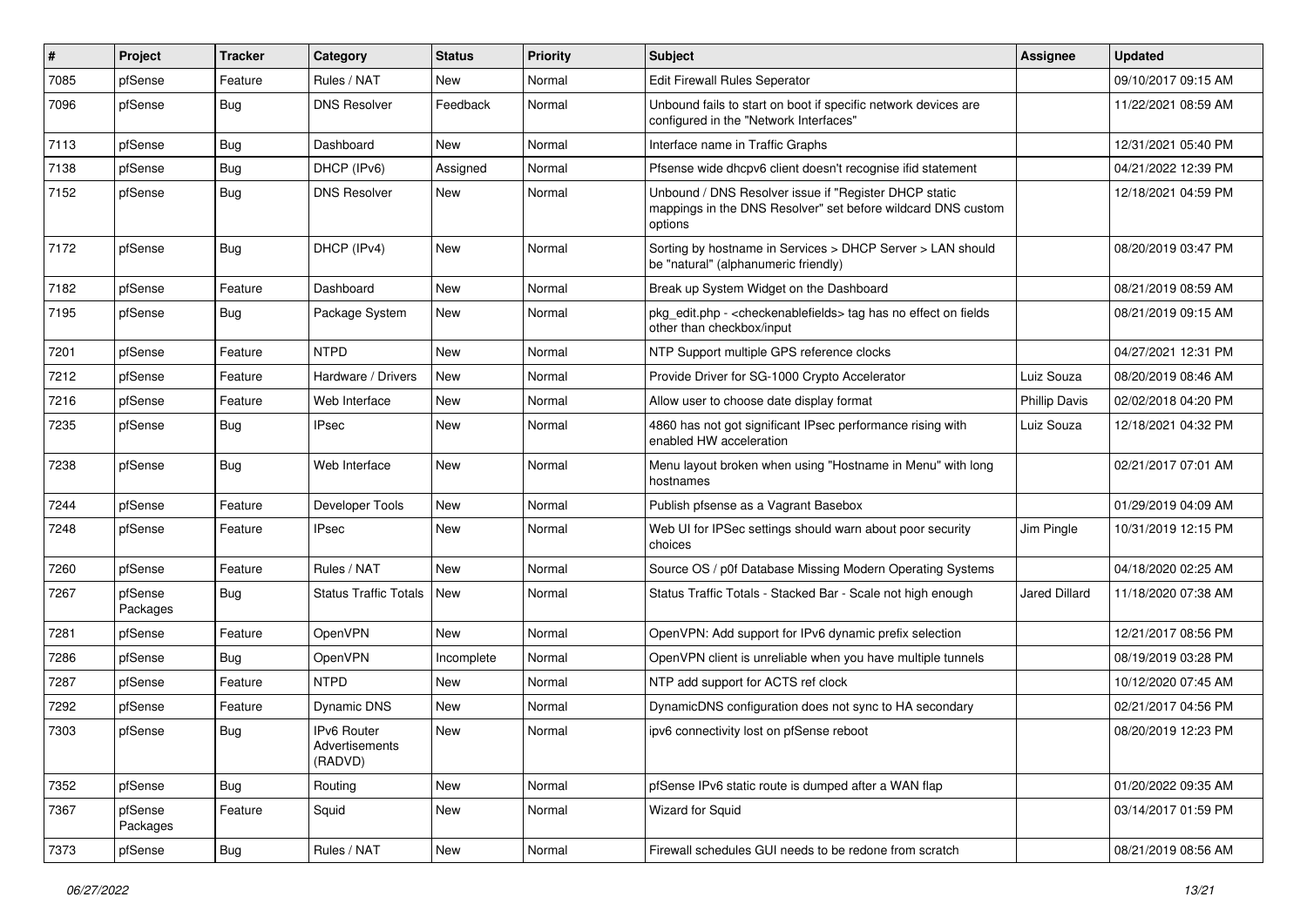| $\#$ | Project             | <b>Tracker</b> | Category                                        | <b>Status</b> | <b>Priority</b> | <b>Subject</b>                                                                                                                   | Assignee             | <b>Updated</b>      |
|------|---------------------|----------------|-------------------------------------------------|---------------|-----------------|----------------------------------------------------------------------------------------------------------------------------------|----------------------|---------------------|
| 7085 | pfSense             | Feature        | Rules / NAT                                     | <b>New</b>    | Normal          | Edit Firewall Rules Seperator                                                                                                    |                      | 09/10/2017 09:15 AM |
| 7096 | pfSense             | <b>Bug</b>     | <b>DNS Resolver</b>                             | Feedback      | Normal          | Unbound fails to start on boot if specific network devices are<br>configured in the "Network Interfaces"                         |                      | 11/22/2021 08:59 AM |
| 7113 | pfSense             | Bug            | Dashboard                                       | <b>New</b>    | Normal          | Interface name in Traffic Graphs                                                                                                 |                      | 12/31/2021 05:40 PM |
| 7138 | pfSense             | Bug            | DHCP (IPv6)                                     | Assigned      | Normal          | Pfsense wide dhcpv6 client doesn't recognise ifid statement                                                                      |                      | 04/21/2022 12:39 PM |
| 7152 | pfSense             | Bug            | <b>DNS Resolver</b>                             | <b>New</b>    | Normal          | Unbound / DNS Resolver issue if "Register DHCP static<br>mappings in the DNS Resolver" set before wildcard DNS custom<br>options |                      | 12/18/2021 04:59 PM |
| 7172 | pfSense             | <b>Bug</b>     | DHCP (IPv4)                                     | <b>New</b>    | Normal          | Sorting by hostname in Services > DHCP Server > LAN should<br>be "natural" (alphanumeric friendly)                               |                      | 08/20/2019 03:47 PM |
| 7182 | pfSense             | Feature        | Dashboard                                       | <b>New</b>    | Normal          | Break up System Widget on the Dashboard                                                                                          |                      | 08/21/2019 08:59 AM |
| 7195 | pfSense             | Bug            | Package System                                  | <b>New</b>    | Normal          | pkg_edit.php - < checkenablefields > tag has no effect on fields<br>other than checkbox/input                                    |                      | 08/21/2019 09:15 AM |
| 7201 | pfSense             | Feature        | <b>NTPD</b>                                     | <b>New</b>    | Normal          | NTP Support multiple GPS reference clocks                                                                                        |                      | 04/27/2021 12:31 PM |
| 7212 | pfSense             | Feature        | Hardware / Drivers                              | <b>New</b>    | Normal          | Provide Driver for SG-1000 Crypto Accelerator                                                                                    | Luiz Souza           | 08/20/2019 08:46 AM |
| 7216 | pfSense             | Feature        | Web Interface                                   | <b>New</b>    | Normal          | Allow user to choose date display format                                                                                         | <b>Phillip Davis</b> | 02/02/2018 04:20 PM |
| 7235 | pfSense             | Bug            | <b>IPsec</b>                                    | <b>New</b>    | Normal          | 4860 has not got significant IPsec performance rising with<br>enabled HW acceleration                                            | Luiz Souza           | 12/18/2021 04:32 PM |
| 7238 | pfSense             | Bug            | Web Interface                                   | New           | Normal          | Menu layout broken when using "Hostname in Menu" with long<br>hostnames                                                          |                      | 02/21/2017 07:01 AM |
| 7244 | pfSense             | Feature        | Developer Tools                                 | <b>New</b>    | Normal          | Publish pfsense as a Vagrant Basebox                                                                                             |                      | 01/29/2019 04:09 AM |
| 7248 | pfSense             | Feature        | <b>IPsec</b>                                    | <b>New</b>    | Normal          | Web UI for IPSec settings should warn about poor security<br>choices                                                             | Jim Pingle           | 10/31/2019 12:15 PM |
| 7260 | pfSense             | Feature        | Rules / NAT                                     | <b>New</b>    | Normal          | Source OS / p0f Database Missing Modern Operating Systems                                                                        |                      | 04/18/2020 02:25 AM |
| 7267 | pfSense<br>Packages | <b>Bug</b>     | Status Traffic Totals                           | <b>New</b>    | Normal          | Status Traffic Totals - Stacked Bar - Scale not high enough                                                                      | Jared Dillard        | 11/18/2020 07:38 AM |
| 7281 | pfSense             | Feature        | OpenVPN                                         | <b>New</b>    | Normal          | OpenVPN: Add support for IPv6 dynamic prefix selection                                                                           |                      | 12/21/2017 08:56 PM |
| 7286 | pfSense             | Bug            | <b>OpenVPN</b>                                  | Incomplete    | Normal          | OpenVPN client is unreliable when you have multiple tunnels                                                                      |                      | 08/19/2019 03:28 PM |
| 7287 | pfSense             | Feature        | <b>NTPD</b>                                     | New           | Normal          | NTP add support for ACTS ref clock                                                                                               |                      | 10/12/2020 07:45 AM |
| 7292 | pfSense             | Feature        | Dynamic DNS                                     | New           | Normal          | DynamicDNS configuration does not sync to HA secondary                                                                           |                      | 02/21/2017 04:56 PM |
| 7303 | pfSense             | <b>Bug</b>     | <b>IPv6 Router</b><br>Advertisements<br>(RADVD) | <b>New</b>    | Normal          | ipv6 connectivity lost on pfSense reboot                                                                                         |                      | 08/20/2019 12:23 PM |
| 7352 | pfSense             | Bug            | Routing                                         | New           | Normal          | pfSense IPv6 static route is dumped after a WAN flap                                                                             |                      | 01/20/2022 09:35 AM |
| 7367 | pfSense<br>Packages | Feature        | Squid                                           | New           | Normal          | Wizard for Squid                                                                                                                 |                      | 03/14/2017 01:59 PM |
| 7373 | pfSense             | <b>Bug</b>     | Rules / NAT                                     | New           | Normal          | Firewall schedules GUI needs to be redone from scratch                                                                           |                      | 08/21/2019 08:56 AM |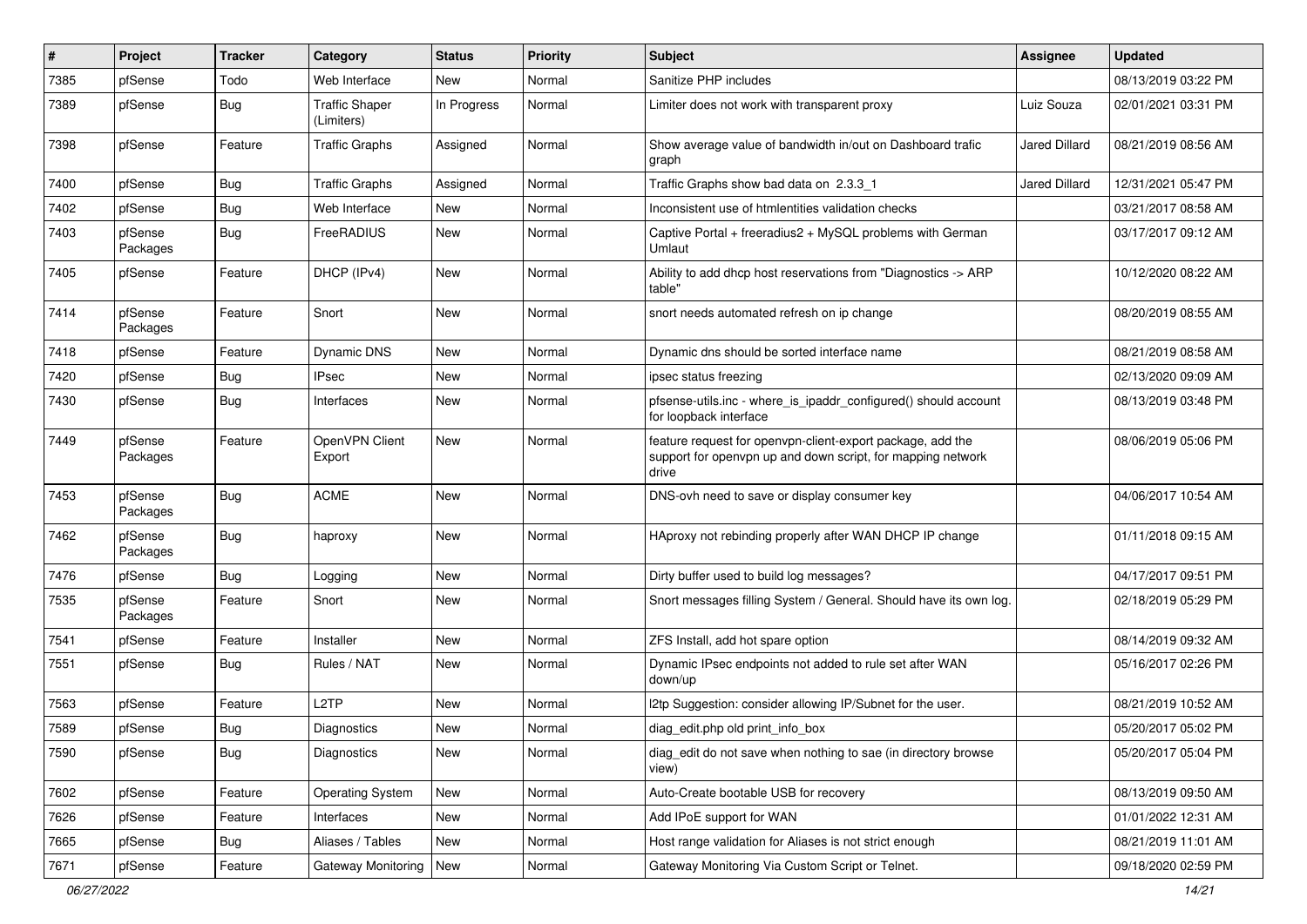| ∦    | Project             | <b>Tracker</b> | Category                            | <b>Status</b> | <b>Priority</b> | <b>Subject</b>                                                                                                                     | <b>Assignee</b>      | <b>Updated</b>      |
|------|---------------------|----------------|-------------------------------------|---------------|-----------------|------------------------------------------------------------------------------------------------------------------------------------|----------------------|---------------------|
| 7385 | pfSense             | Todo           | Web Interface                       | New           | Normal          | Sanitize PHP includes                                                                                                              |                      | 08/13/2019 03:22 PM |
| 7389 | pfSense             | <b>Bug</b>     | <b>Traffic Shaper</b><br>(Limiters) | In Progress   | Normal          | Limiter does not work with transparent proxy                                                                                       | Luiz Souza           | 02/01/2021 03:31 PM |
| 7398 | pfSense             | Feature        | <b>Traffic Graphs</b>               | Assigned      | Normal          | Show average value of bandwidth in/out on Dashboard trafic<br>graph                                                                | Jared Dillard        | 08/21/2019 08:56 AM |
| 7400 | pfSense             | Bug            | <b>Traffic Graphs</b>               | Assigned      | Normal          | Traffic Graphs show bad data on 2.3.3 1                                                                                            | <b>Jared Dillard</b> | 12/31/2021 05:47 PM |
| 7402 | pfSense             | <b>Bug</b>     | Web Interface                       | New           | Normal          | Inconsistent use of htmlentities validation checks                                                                                 |                      | 03/21/2017 08:58 AM |
| 7403 | pfSense<br>Packages | Bug            | FreeRADIUS                          | New           | Normal          | Captive Portal + freeradius2 + MySQL problems with German<br>Umlaut                                                                |                      | 03/17/2017 09:12 AM |
| 7405 | pfSense             | Feature        | DHCP (IPv4)                         | New           | Normal          | Ability to add dhcp host reservations from "Diagnostics -> ARP<br>table"                                                           |                      | 10/12/2020 08:22 AM |
| 7414 | pfSense<br>Packages | Feature        | Snort                               | New           | Normal          | snort needs automated refresh on ip change                                                                                         |                      | 08/20/2019 08:55 AM |
| 7418 | pfSense             | Feature        | <b>Dynamic DNS</b>                  | New           | Normal          | Dynamic dns should be sorted interface name                                                                                        |                      | 08/21/2019 08:58 AM |
| 7420 | pfSense             | <b>Bug</b>     | <b>IPsec</b>                        | New           | Normal          | ipsec status freezing                                                                                                              |                      | 02/13/2020 09:09 AM |
| 7430 | pfSense             | Bug            | Interfaces                          | New           | Normal          | pfsense-utils.inc - where is ipaddr configured() should account<br>for loopback interface                                          |                      | 08/13/2019 03:48 PM |
| 7449 | pfSense<br>Packages | Feature        | OpenVPN Client<br>Export            | New           | Normal          | feature request for openypn-client-export package, add the<br>support for openypn up and down script, for mapping network<br>drive |                      | 08/06/2019 05:06 PM |
| 7453 | pfSense<br>Packages | Bug            | <b>ACME</b>                         | New           | Normal          | DNS-ovh need to save or display consumer key                                                                                       |                      | 04/06/2017 10:54 AM |
| 7462 | pfSense<br>Packages | <b>Bug</b>     | haproxy                             | New           | Normal          | HAproxy not rebinding properly after WAN DHCP IP change                                                                            |                      | 01/11/2018 09:15 AM |
| 7476 | pfSense             | Bug            | Logging                             | New           | Normal          | Dirty buffer used to build log messages?                                                                                           |                      | 04/17/2017 09:51 PM |
| 7535 | pfSense<br>Packages | Feature        | Snort                               | New           | Normal          | Snort messages filling System / General. Should have its own log.                                                                  |                      | 02/18/2019 05:29 PM |
| 7541 | pfSense             | Feature        | Installer                           | New           | Normal          | ZFS Install, add hot spare option                                                                                                  |                      | 08/14/2019 09:32 AM |
| 7551 | pfSense             | <b>Bug</b>     | Rules / NAT                         | New           | Normal          | Dynamic IPsec endpoints not added to rule set after WAN<br>down/up                                                                 |                      | 05/16/2017 02:26 PM |
| 7563 | pfSense             | Feature        | L <sub>2</sub> TP                   | New           | Normal          | I2tp Suggestion: consider allowing IP/Subnet for the user.                                                                         |                      | 08/21/2019 10:52 AM |
| 7589 | pfSense             | <b>Bug</b>     | Diagnostics                         | New           | Normal          | diag_edit.php old print_info_box                                                                                                   |                      | 05/20/2017 05:02 PM |
| 7590 | pfSense             | Bug            | Diagnostics                         | New           | Normal          | diag_edit do not save when nothing to sae (in directory browse<br>view)                                                            |                      | 05/20/2017 05:04 PM |
| 7602 | pfSense             | Feature        | <b>Operating System</b>             | New           | Normal          | Auto-Create bootable USB for recovery                                                                                              |                      | 08/13/2019 09:50 AM |
| 7626 | pfSense             | Feature        | Interfaces                          | New           | Normal          | Add IPoE support for WAN                                                                                                           |                      | 01/01/2022 12:31 AM |
| 7665 | pfSense             | <b>Bug</b>     | Aliases / Tables                    | New           | Normal          | Host range validation for Aliases is not strict enough                                                                             |                      | 08/21/2019 11:01 AM |
| 7671 | pfSense             | Feature        | Gateway Monitoring                  | New           | Normal          | Gateway Monitoring Via Custom Script or Telnet.                                                                                    |                      | 09/18/2020 02:59 PM |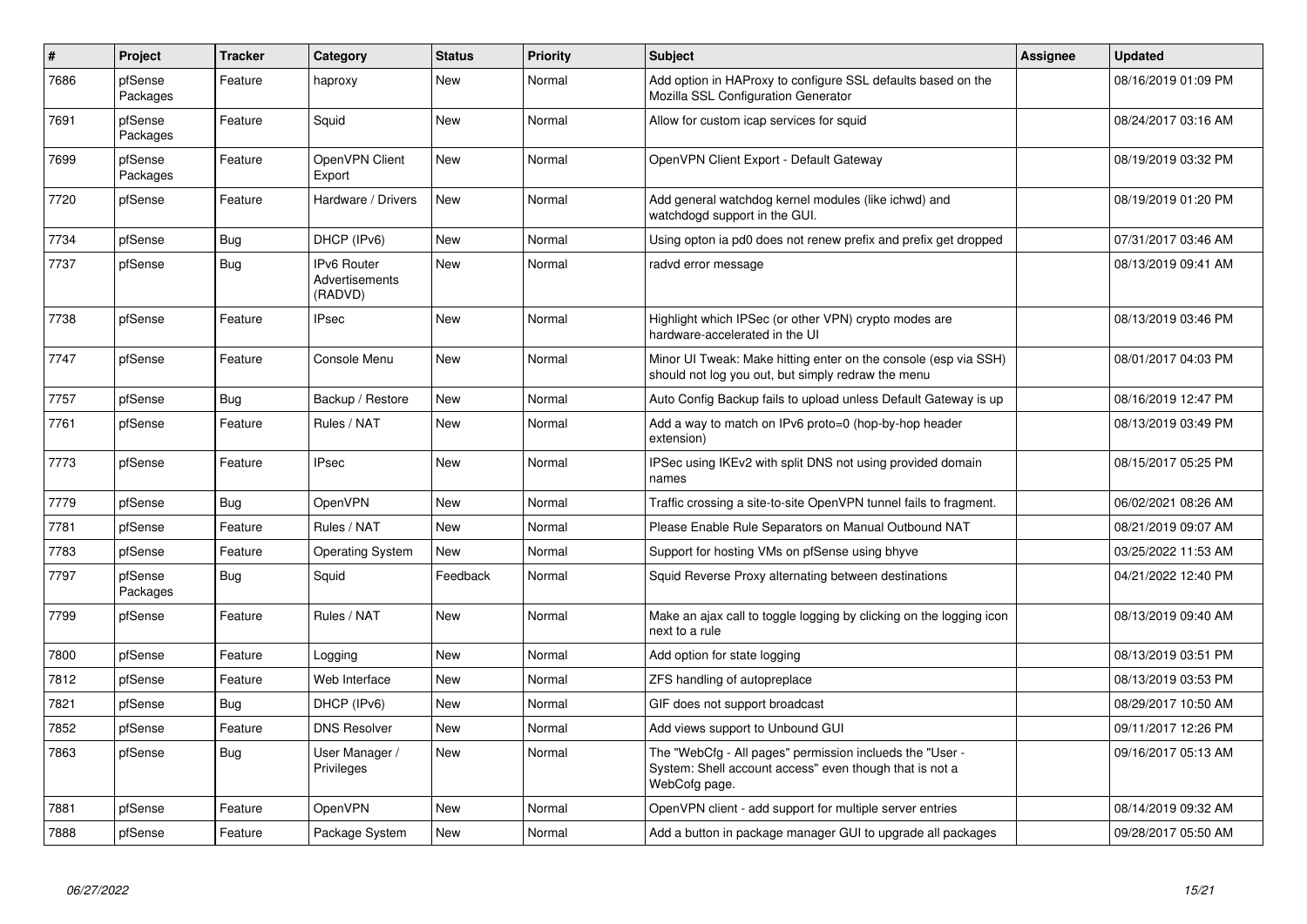| $\vert$ # | Project             | <b>Tracker</b> | Category                                        | <b>Status</b> | <b>Priority</b> | <b>Subject</b>                                                                                                                       | <b>Assignee</b> | <b>Updated</b>      |
|-----------|---------------------|----------------|-------------------------------------------------|---------------|-----------------|--------------------------------------------------------------------------------------------------------------------------------------|-----------------|---------------------|
| 7686      | pfSense<br>Packages | Feature        | haproxy                                         | <b>New</b>    | Normal          | Add option in HAProxy to configure SSL defaults based on the<br>Mozilla SSL Configuration Generator                                  |                 | 08/16/2019 01:09 PM |
| 7691      | pfSense<br>Packages | Feature        | Squid                                           | New           | Normal          | Allow for custom icap services for squid                                                                                             |                 | 08/24/2017 03:16 AM |
| 7699      | pfSense<br>Packages | Feature        | OpenVPN Client<br>Export                        | New           | Normal          | OpenVPN Client Export - Default Gateway                                                                                              |                 | 08/19/2019 03:32 PM |
| 7720      | pfSense             | Feature        | Hardware / Drivers                              | New           | Normal          | Add general watchdog kernel modules (like ichwd) and<br>watchdogd support in the GUI.                                                |                 | 08/19/2019 01:20 PM |
| 7734      | pfSense             | Bug            | DHCP (IPv6)                                     | New           | Normal          | Using opton ia pd0 does not renew prefix and prefix get dropped                                                                      |                 | 07/31/2017 03:46 AM |
| 7737      | pfSense             | <b>Bug</b>     | <b>IPv6 Router</b><br>Advertisements<br>(RADVD) | <b>New</b>    | Normal          | radvd error message                                                                                                                  |                 | 08/13/2019 09:41 AM |
| 7738      | pfSense             | Feature        | <b>IPsec</b>                                    | New           | Normal          | Highlight which IPSec (or other VPN) crypto modes are<br>hardware-accelerated in the UI                                              |                 | 08/13/2019 03:46 PM |
| 7747      | pfSense             | Feature        | Console Menu                                    | New           | Normal          | Minor UI Tweak: Make hitting enter on the console (esp via SSH)<br>should not log you out, but simply redraw the menu                |                 | 08/01/2017 04:03 PM |
| 7757      | pfSense             | Bug            | Backup / Restore                                | <b>New</b>    | Normal          | Auto Config Backup fails to upload unless Default Gateway is up                                                                      |                 | 08/16/2019 12:47 PM |
| 7761      | pfSense             | Feature        | Rules / NAT                                     | <b>New</b>    | Normal          | Add a way to match on IPv6 proto=0 (hop-by-hop header<br>extension)                                                                  |                 | 08/13/2019 03:49 PM |
| 7773      | pfSense             | Feature        | <b>IPsec</b>                                    | <b>New</b>    | Normal          | IPSec using IKEv2 with split DNS not using provided domain<br>names                                                                  |                 | 08/15/2017 05:25 PM |
| 7779      | pfSense             | Bug            | <b>OpenVPN</b>                                  | New           | Normal          | Traffic crossing a site-to-site OpenVPN tunnel fails to fragment.                                                                    |                 | 06/02/2021 08:26 AM |
| 7781      | pfSense             | Feature        | Rules / NAT                                     | <b>New</b>    | Normal          | Please Enable Rule Separators on Manual Outbound NAT                                                                                 |                 | 08/21/2019 09:07 AM |
| 7783      | pfSense             | Feature        | <b>Operating System</b>                         | <b>New</b>    | Normal          | Support for hosting VMs on pfSense using bhyve                                                                                       |                 | 03/25/2022 11:53 AM |
| 7797      | pfSense<br>Packages | Bug            | Squid                                           | Feedback      | Normal          | Squid Reverse Proxy alternating between destinations                                                                                 |                 | 04/21/2022 12:40 PM |
| 7799      | pfSense             | Feature        | Rules / NAT                                     | <b>New</b>    | Normal          | Make an ajax call to toggle logging by clicking on the logging icon<br>next to a rule                                                |                 | 08/13/2019 09:40 AM |
| 7800      | pfSense             | Feature        | Logging                                         | <b>New</b>    | Normal          | Add option for state logging                                                                                                         |                 | 08/13/2019 03:51 PM |
| 7812      | pfSense             | Feature        | Web Interface                                   | <b>New</b>    | Normal          | ZFS handling of autopreplace                                                                                                         |                 | 08/13/2019 03:53 PM |
| 7821      | pfSense             | Bug            | DHCP (IPv6)                                     | <b>New</b>    | Normal          | GIF does not support broadcast                                                                                                       |                 | 08/29/2017 10:50 AM |
| 7852      | pfSense             | Feature        | <b>DNS Resolver</b>                             | <b>New</b>    | Normal          | Add views support to Unbound GUI                                                                                                     |                 | 09/11/2017 12:26 PM |
| 7863      | pfSense             | <b>Bug</b>     | User Manager /<br>Privileges                    | <b>New</b>    | Normal          | The "WebCfg - All pages" permission inclueds the "User -<br>System: Shell account access" even though that is not a<br>WebCofg page. |                 | 09/16/2017 05:13 AM |
| 7881      | pfSense             | Feature        | <b>OpenVPN</b>                                  | New           | Normal          | OpenVPN client - add support for multiple server entries                                                                             |                 | 08/14/2019 09:32 AM |
| 7888      | pfSense             | Feature        | Package System                                  | <b>New</b>    | Normal          | Add a button in package manager GUI to upgrade all packages                                                                          |                 | 09/28/2017 05:50 AM |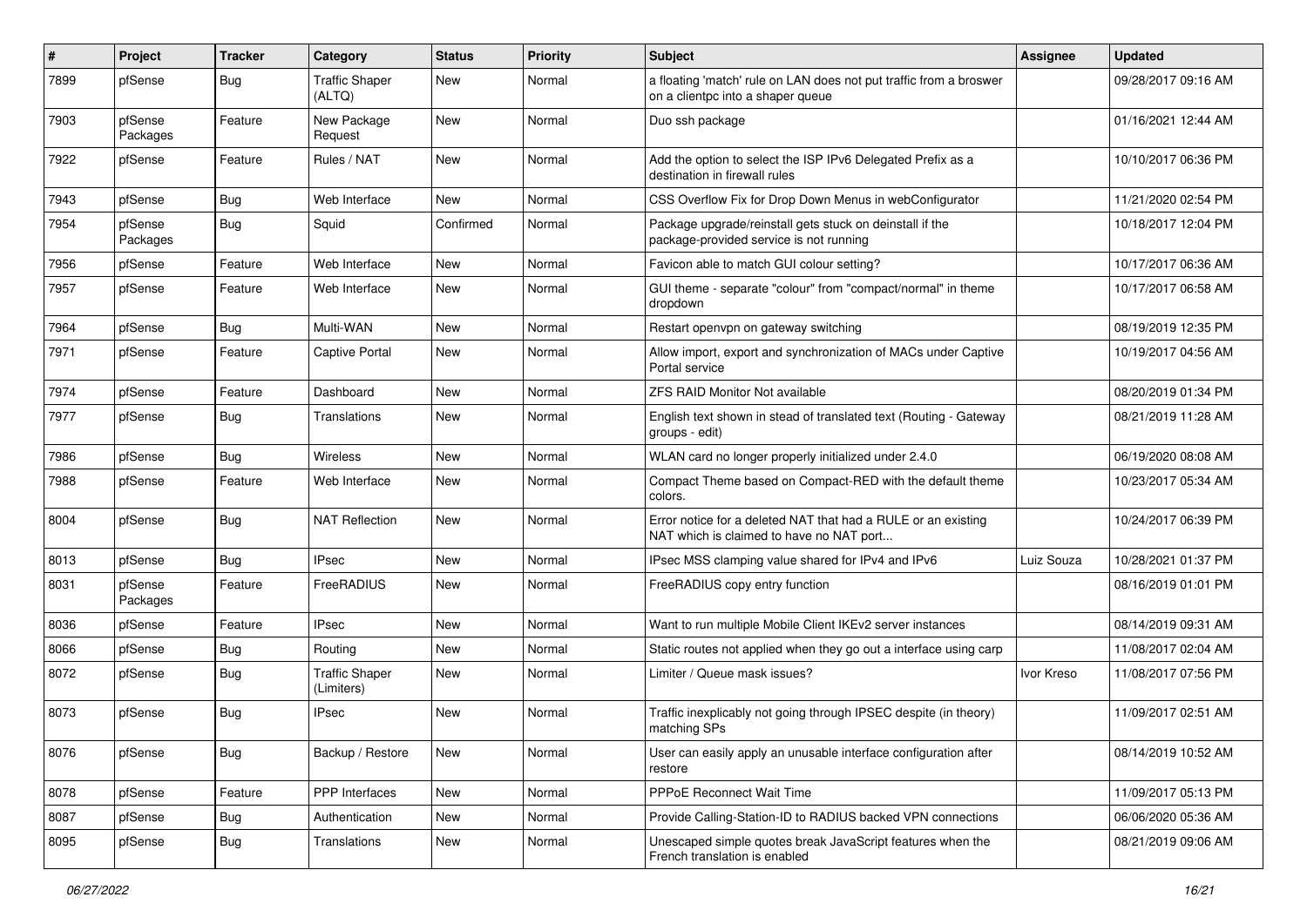| #    | Project             | <b>Tracker</b> | Category                            | <b>Status</b> | <b>Priority</b> | <b>Subject</b>                                                                                            | Assignee   | <b>Updated</b>      |
|------|---------------------|----------------|-------------------------------------|---------------|-----------------|-----------------------------------------------------------------------------------------------------------|------------|---------------------|
| 7899 | pfSense             | <b>Bug</b>     | <b>Traffic Shaper</b><br>(ALTQ)     | New           | Normal          | a floating 'match' rule on LAN does not put traffic from a broswer<br>on a clientpc into a shaper queue   |            | 09/28/2017 09:16 AM |
| 7903 | pfSense<br>Packages | Feature        | New Package<br>Request              | New           | Normal          | Duo ssh package                                                                                           |            | 01/16/2021 12:44 AM |
| 7922 | pfSense             | Feature        | Rules / NAT                         | New           | Normal          | Add the option to select the ISP IPv6 Delegated Prefix as a<br>destination in firewall rules              |            | 10/10/2017 06:36 PM |
| 7943 | pfSense             | <b>Bug</b>     | Web Interface                       | New           | Normal          | CSS Overflow Fix for Drop Down Menus in webConfigurator                                                   |            | 11/21/2020 02:54 PM |
| 7954 | pfSense<br>Packages | Bug            | Squid                               | Confirmed     | Normal          | Package upgrade/reinstall gets stuck on deinstall if the<br>package-provided service is not running       |            | 10/18/2017 12:04 PM |
| 7956 | pfSense             | Feature        | Web Interface                       | <b>New</b>    | Normal          | Favicon able to match GUI colour setting?                                                                 |            | 10/17/2017 06:36 AM |
| 7957 | pfSense             | Feature        | Web Interface                       | New           | Normal          | GUI theme - separate "colour" from "compact/normal" in theme<br>dropdown                                  |            | 10/17/2017 06:58 AM |
| 7964 | pfSense             | Bug            | Multi-WAN                           | New           | Normal          | Restart openvpn on gateway switching                                                                      |            | 08/19/2019 12:35 PM |
| 7971 | pfSense             | Feature        | <b>Captive Portal</b>               | New           | Normal          | Allow import, export and synchronization of MACs under Captive<br>Portal service                          |            | 10/19/2017 04:56 AM |
| 7974 | pfSense             | Feature        | Dashboard                           | <b>New</b>    | Normal          | <b>ZFS RAID Monitor Not available</b>                                                                     |            | 08/20/2019 01:34 PM |
| 7977 | pfSense             | <b>Bug</b>     | Translations                        | New           | Normal          | English text shown in stead of translated text (Routing - Gateway<br>groups - edit)                       |            | 08/21/2019 11:28 AM |
| 7986 | pfSense             | Bug            | <b>Wireless</b>                     | New           | Normal          | WLAN card no longer properly initialized under 2.4.0                                                      |            | 06/19/2020 08:08 AM |
| 7988 | pfSense             | Feature        | Web Interface                       | New           | Normal          | Compact Theme based on Compact-RED with the default theme<br>colors.                                      |            | 10/23/2017 05:34 AM |
| 8004 | pfSense             | Bug            | <b>NAT Reflection</b>               | New           | Normal          | Error notice for a deleted NAT that had a RULE or an existing<br>NAT which is claimed to have no NAT port |            | 10/24/2017 06:39 PM |
| 8013 | pfSense             | Bug            | <b>IPsec</b>                        | <b>New</b>    | Normal          | IPsec MSS clamping value shared for IPv4 and IPv6                                                         | Luiz Souza | 10/28/2021 01:37 PM |
| 8031 | pfSense<br>Packages | Feature        | FreeRADIUS                          | New           | Normal          | FreeRADIUS copy entry function                                                                            |            | 08/16/2019 01:01 PM |
| 8036 | pfSense             | Feature        | <b>IPsec</b>                        | <b>New</b>    | Normal          | Want to run multiple Mobile Client IKEv2 server instances                                                 |            | 08/14/2019 09:31 AM |
| 8066 | pfSense             | <b>Bug</b>     | Routing                             | New           | Normal          | Static routes not applied when they go out a interface using carp                                         |            | 11/08/2017 02:04 AM |
| 8072 | pfSense             | Bug            | <b>Traffic Shaper</b><br>(Limiters) | <b>New</b>    | Normal          | Limiter / Queue mask issues?                                                                              | Ivor Kreso | 11/08/2017 07:56 PM |
| 8073 | pfSense             | Bug            | IPsec                               | New           | Normal          | Traffic inexplicably not going through IPSEC despite (in theory)<br>matching SPs                          |            | 11/09/2017 02:51 AM |
| 8076 | pfSense             | <b>Bug</b>     | Backup / Restore                    | New           | Normal          | User can easily apply an unusable interface configuration after<br>restore                                |            | 08/14/2019 10:52 AM |
| 8078 | pfSense             | Feature        | PPP Interfaces                      | New           | Normal          | PPPoE Reconnect Wait Time                                                                                 |            | 11/09/2017 05:13 PM |
| 8087 | pfSense             | Bug            | Authentication                      | New           | Normal          | Provide Calling-Station-ID to RADIUS backed VPN connections                                               |            | 06/06/2020 05:36 AM |
| 8095 | pfSense             | <b>Bug</b>     | Translations                        | New           | Normal          | Unescaped simple quotes break JavaScript features when the<br>French translation is enabled               |            | 08/21/2019 09:06 AM |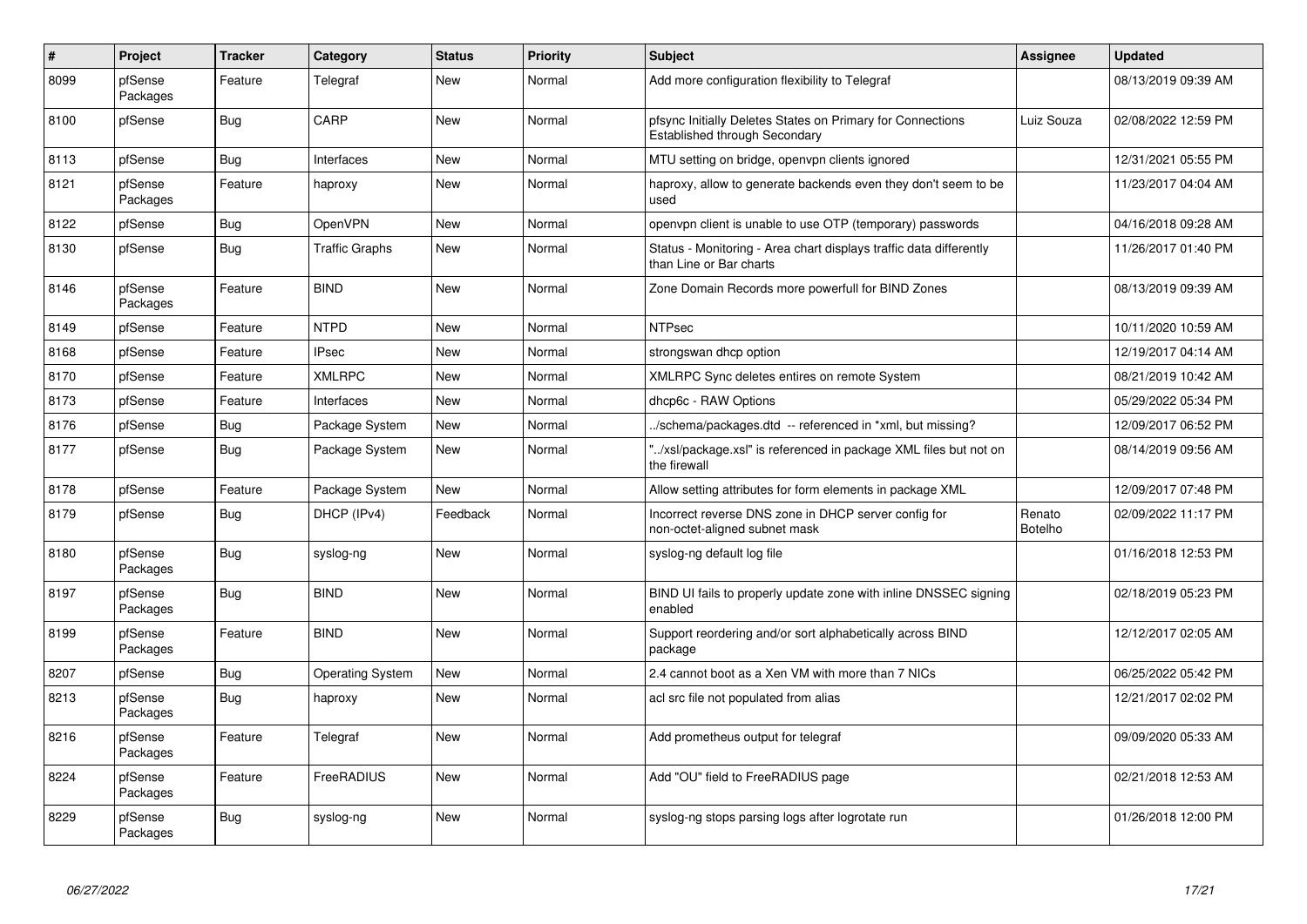| $\#$ | Project             | <b>Tracker</b> | Category                | <b>Status</b> | <b>Priority</b> | Subject                                                                                       | Assignee                 | <b>Updated</b>      |
|------|---------------------|----------------|-------------------------|---------------|-----------------|-----------------------------------------------------------------------------------------------|--------------------------|---------------------|
| 8099 | pfSense<br>Packages | Feature        | Telegraf                | New           | Normal          | Add more configuration flexibility to Telegraf                                                |                          | 08/13/2019 09:39 AM |
| 8100 | pfSense             | <b>Bug</b>     | CARP                    | <b>New</b>    | Normal          | pfsync Initially Deletes States on Primary for Connections<br>Established through Secondary   | Luiz Souza               | 02/08/2022 12:59 PM |
| 8113 | pfSense             | Bug            | Interfaces              | <b>New</b>    | Normal          | MTU setting on bridge, openvpn clients ignored                                                |                          | 12/31/2021 05:55 PM |
| 8121 | pfSense<br>Packages | Feature        | haproxy                 | New           | Normal          | haproxy, allow to generate backends even they don't seem to be<br>used                        |                          | 11/23/2017 04:04 AM |
| 8122 | pfSense             | <b>Bug</b>     | OpenVPN                 | <b>New</b>    | Normal          | openypn client is unable to use OTP (temporary) passwords                                     |                          | 04/16/2018 09:28 AM |
| 8130 | pfSense             | Bug            | Traffic Graphs          | New           | Normal          | Status - Monitoring - Area chart displays traffic data differently<br>than Line or Bar charts |                          | 11/26/2017 01:40 PM |
| 8146 | pfSense<br>Packages | Feature        | <b>BIND</b>             | <b>New</b>    | Normal          | Zone Domain Records more powerfull for BIND Zones                                             |                          | 08/13/2019 09:39 AM |
| 8149 | pfSense             | Feature        | <b>NTPD</b>             | <b>New</b>    | Normal          | <b>NTPsec</b>                                                                                 |                          | 10/11/2020 10:59 AM |
| 8168 | pfSense             | Feature        | <b>IPsec</b>            | <b>New</b>    | Normal          | strongswan dhcp option                                                                        |                          | 12/19/2017 04:14 AM |
| 8170 | pfSense             | Feature        | <b>XMLRPC</b>           | New           | Normal          | XMLRPC Sync deletes entires on remote System                                                  |                          | 08/21/2019 10:42 AM |
| 8173 | pfSense             | Feature        | Interfaces              | <b>New</b>    | Normal          | dhcp6c - RAW Options                                                                          |                          | 05/29/2022 05:34 PM |
| 8176 | pfSense             | <b>Bug</b>     | Package System          | New           | Normal          | /schema/packages.dtd -- referenced in *xml, but missing?                                      |                          | 12/09/2017 06:52 PM |
| 8177 | pfSense             | Bug            | Package System          | New           | Normal          | "/xsl/package.xsl" is referenced in package XML files but not on<br>the firewall              |                          | 08/14/2019 09:56 AM |
| 8178 | pfSense             | Feature        | Package System          | New           | Normal          | Allow setting attributes for form elements in package XML                                     |                          | 12/09/2017 07:48 PM |
| 8179 | pfSense             | <b>Bug</b>     | DHCP (IPv4)             | Feedback      | Normal          | Incorrect reverse DNS zone in DHCP server config for<br>non-octet-aligned subnet mask         | Renato<br><b>Botelho</b> | 02/09/2022 11:17 PM |
| 8180 | pfSense<br>Packages | <b>Bug</b>     | syslog-ng               | New           | Normal          | syslog-ng default log file                                                                    |                          | 01/16/2018 12:53 PM |
| 8197 | pfSense<br>Packages | <b>Bug</b>     | <b>BIND</b>             | New           | Normal          | BIND UI fails to properly update zone with inline DNSSEC signing<br>enabled                   |                          | 02/18/2019 05:23 PM |
| 8199 | pfSense<br>Packages | Feature        | <b>BIND</b>             | New           | Normal          | Support reordering and/or sort alphabetically across BIND<br>package                          |                          | 12/12/2017 02:05 AM |
| 8207 | pfSense             | Bug            | <b>Operating System</b> | <b>New</b>    | Normal          | 2.4 cannot boot as a Xen VM with more than 7 NICs                                             |                          | 06/25/2022 05:42 PM |
| 8213 | pfSense<br>Packages | <b>Bug</b>     | haproxy                 | New           | Normal          | acl src file not populated from alias                                                         |                          | 12/21/2017 02:02 PM |
| 8216 | pfSense<br>Packages | Feature        | Telegraf                | New           | Normal          | Add prometheus output for telegraf                                                            |                          | 09/09/2020 05:33 AM |
| 8224 | pfSense<br>Packages | Feature        | FreeRADIUS              | New           | Normal          | Add "OU" field to FreeRADIUS page                                                             |                          | 02/21/2018 12:53 AM |
| 8229 | pfSense<br>Packages | <b>Bug</b>     | syslog-ng               | <b>New</b>    | Normal          | syslog-ng stops parsing logs after logrotate run                                              |                          | 01/26/2018 12:00 PM |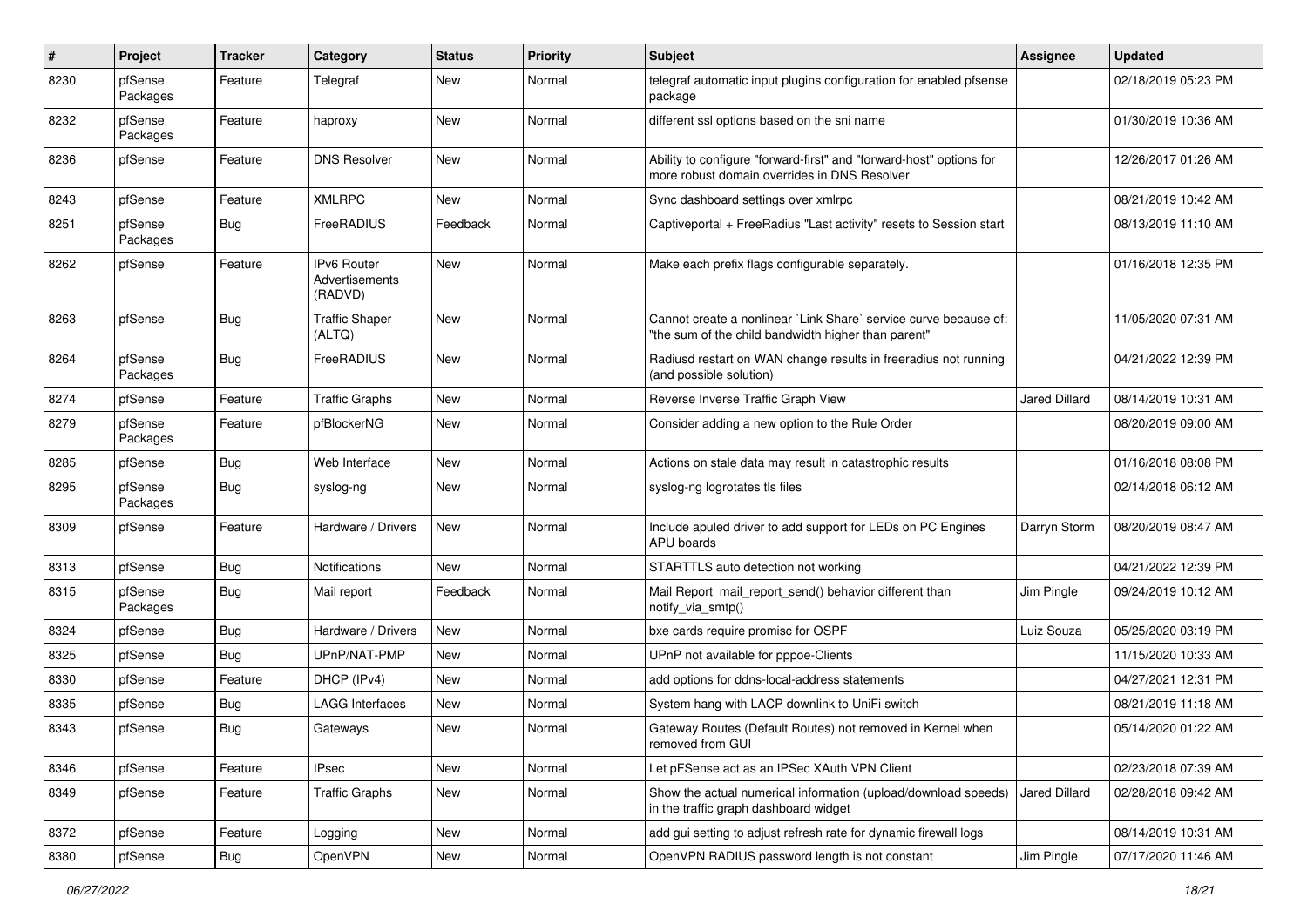| $\pmb{\#}$ | Project             | <b>Tracker</b> | Category                                        | <b>Status</b> | <b>Priority</b> | <b>Subject</b>                                                                                                          | Assignee             | <b>Updated</b>      |
|------------|---------------------|----------------|-------------------------------------------------|---------------|-----------------|-------------------------------------------------------------------------------------------------------------------------|----------------------|---------------------|
| 8230       | pfSense<br>Packages | Feature        | Telegraf                                        | New           | Normal          | telegraf automatic input plugins configuration for enabled pfsense<br>package                                           |                      | 02/18/2019 05:23 PM |
| 8232       | pfSense<br>Packages | Feature        | haproxy                                         | New           | Normal          | different ssl options based on the sni name                                                                             |                      | 01/30/2019 10:36 AM |
| 8236       | pfSense             | Feature        | <b>DNS Resolver</b>                             | <b>New</b>    | Normal          | Ability to configure "forward-first" and "forward-host" options for<br>more robust domain overrides in DNS Resolver     |                      | 12/26/2017 01:26 AM |
| 8243       | pfSense             | Feature        | <b>XMLRPC</b>                                   | New           | Normal          | Sync dashboard settings over xmlrpc                                                                                     |                      | 08/21/2019 10:42 AM |
| 8251       | pfSense<br>Packages | Bug            | FreeRADIUS                                      | Feedback      | Normal          | Captiveportal + FreeRadius "Last activity" resets to Session start                                                      |                      | 08/13/2019 11:10 AM |
| 8262       | pfSense             | Feature        | <b>IPv6 Router</b><br>Advertisements<br>(RADVD) | New           | Normal          | Make each prefix flags configurable separately.                                                                         |                      | 01/16/2018 12:35 PM |
| 8263       | pfSense             | Bug            | <b>Traffic Shaper</b><br>(ALTQ)                 | New           | Normal          | Cannot create a nonlinear `Link Share` service curve because of:<br>"the sum of the child bandwidth higher than parent" |                      | 11/05/2020 07:31 AM |
| 8264       | pfSense<br>Packages | Bug            | FreeRADIUS                                      | New           | Normal          | Radiusd restart on WAN change results in freeradius not running<br>(and possible solution)                              |                      | 04/21/2022 12:39 PM |
| 8274       | pfSense             | Feature        | <b>Traffic Graphs</b>                           | New           | Normal          | Reverse Inverse Traffic Graph View                                                                                      | Jared Dillard        | 08/14/2019 10:31 AM |
| 8279       | pfSense<br>Packages | Feature        | pfBlockerNG                                     | New           | Normal          | Consider adding a new option to the Rule Order                                                                          |                      | 08/20/2019 09:00 AM |
| 8285       | pfSense             | Bug            | Web Interface                                   | New           | Normal          | Actions on stale data may result in catastrophic results                                                                |                      | 01/16/2018 08:08 PM |
| 8295       | pfSense<br>Packages | Bug            | syslog-ng                                       | New           | Normal          | syslog-ng logrotates tls files                                                                                          |                      | 02/14/2018 06:12 AM |
| 8309       | pfSense             | Feature        | Hardware / Drivers                              | New           | Normal          | Include apuled driver to add support for LEDs on PC Engines<br>APU boards                                               | Darryn Storm         | 08/20/2019 08:47 AM |
| 8313       | pfSense             | Bug            | Notifications                                   | <b>New</b>    | Normal          | STARTTLS auto detection not working                                                                                     |                      | 04/21/2022 12:39 PM |
| 8315       | pfSense<br>Packages | Bug            | Mail report                                     | Feedback      | Normal          | Mail Report mail report send() behavior different than<br>notify_via_smtp()                                             | Jim Pingle           | 09/24/2019 10:12 AM |
| 8324       | pfSense             | <b>Bug</b>     | Hardware / Drivers                              | New           | Normal          | bxe cards require promisc for OSPF                                                                                      | Luiz Souza           | 05/25/2020 03:19 PM |
| 8325       | pfSense             | <b>Bug</b>     | UPnP/NAT-PMP                                    | New           | Normal          | UPnP not available for pppoe-Clients                                                                                    |                      | 11/15/2020 10:33 AM |
| 8330       | pfSense             | Feature        | DHCP (IPv4)                                     | New           | Normal          | add options for ddns-local-address statements                                                                           |                      | 04/27/2021 12:31 PM |
| 8335       | pfSense             | <b>Bug</b>     | LAGG Interfaces                                 | New           | Normal          | System hang with LACP downlink to UniFi switch                                                                          |                      | 08/21/2019 11:18 AM |
| 8343       | pfSense             | <b>Bug</b>     | Gateways                                        | New           | Normal          | Gateway Routes (Default Routes) not removed in Kernel when<br>removed from GUI                                          |                      | 05/14/2020 01:22 AM |
| 8346       | pfSense             | Feature        | <b>IPsec</b>                                    | New           | Normal          | Let pFSense act as an IPSec XAuth VPN Client                                                                            |                      | 02/23/2018 07:39 AM |
| 8349       | pfSense             | Feature        | <b>Traffic Graphs</b>                           | New           | Normal          | Show the actual numerical information (upload/download speeds)<br>in the traffic graph dashboard widget                 | <b>Jared Dillard</b> | 02/28/2018 09:42 AM |
| 8372       | pfSense             | Feature        | Logging                                         | New           | Normal          | add gui setting to adjust refresh rate for dynamic firewall logs                                                        |                      | 08/14/2019 10:31 AM |
| 8380       | pfSense             | Bug            | OpenVPN                                         | New           | Normal          | OpenVPN RADIUS password length is not constant                                                                          | Jim Pingle           | 07/17/2020 11:46 AM |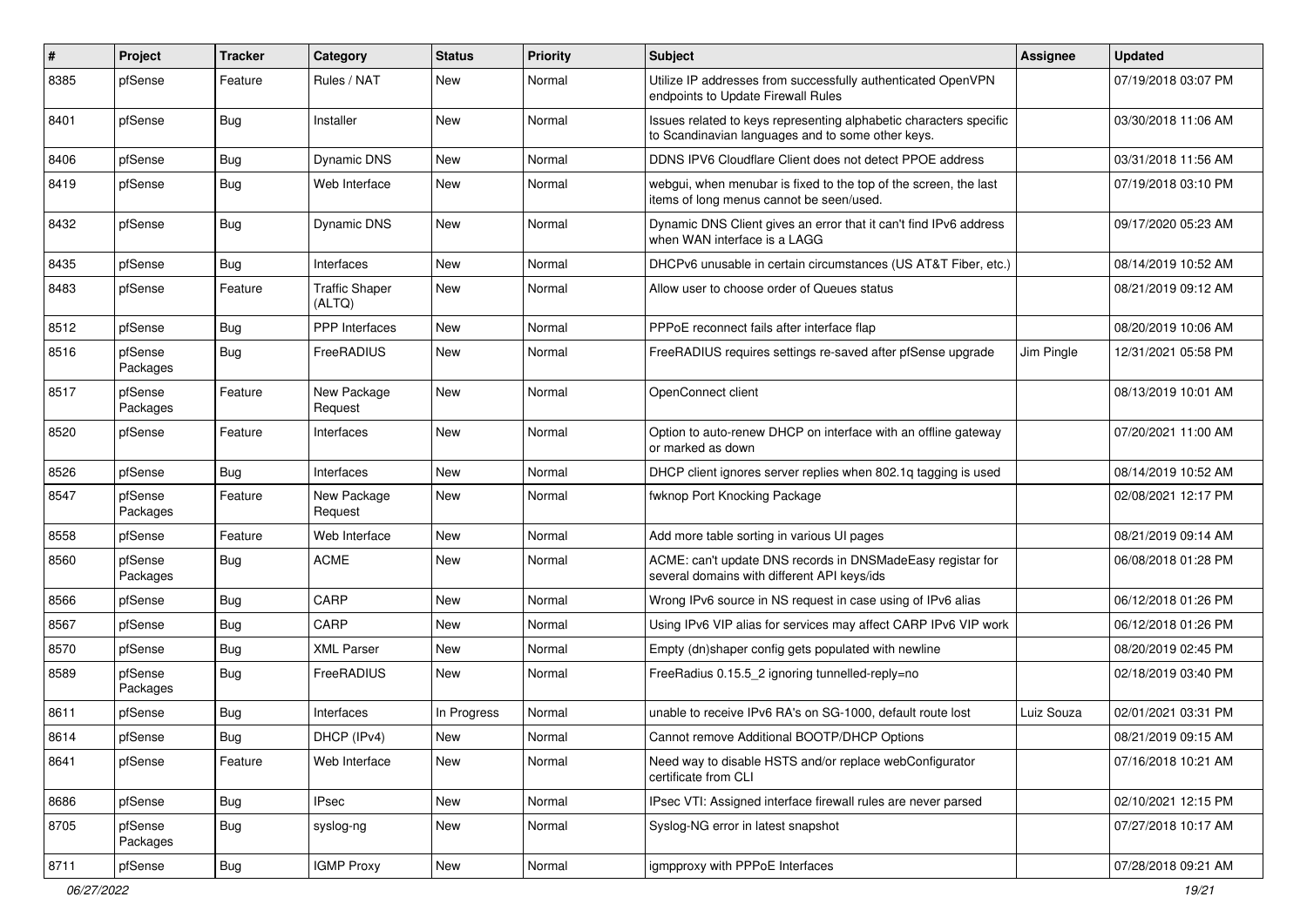| ∦    | Project             | <b>Tracker</b> | Category                 | <b>Status</b> | <b>Priority</b> | <b>Subject</b>                                                                                                          | Assignee   | <b>Updated</b>      |
|------|---------------------|----------------|--------------------------|---------------|-----------------|-------------------------------------------------------------------------------------------------------------------------|------------|---------------------|
| 8385 | pfSense             | Feature        | Rules / NAT              | New           | Normal          | Utilize IP addresses from successfully authenticated OpenVPN<br>endpoints to Update Firewall Rules                      |            | 07/19/2018 03:07 PM |
| 8401 | pfSense             | Bug            | Installer                | New           | Normal          | Issues related to keys representing alphabetic characters specific<br>to Scandinavian languages and to some other keys. |            | 03/30/2018 11:06 AM |
| 8406 | pfSense             | <b>Bug</b>     | Dynamic DNS              | New           | Normal          | DDNS IPV6 Cloudflare Client does not detect PPOE address                                                                |            | 03/31/2018 11:56 AM |
| 8419 | pfSense             | Bug            | Web Interface            | New           | Normal          | webgui, when menubar is fixed to the top of the screen, the last<br>items of long menus cannot be seen/used.            |            | 07/19/2018 03:10 PM |
| 8432 | pfSense             | <b>Bug</b>     | <b>Dynamic DNS</b>       | <b>New</b>    | Normal          | Dynamic DNS Client gives an error that it can't find IPv6 address<br>when WAN interface is a LAGG                       |            | 09/17/2020 05:23 AM |
| 8435 | pfSense             | <b>Bug</b>     | Interfaces               | New           | Normal          | DHCPv6 unusable in certain circumstances (US AT&T Fiber, etc.)                                                          |            | 08/14/2019 10:52 AM |
| 8483 | pfSense             | Feature        | Traffic Shaper<br>(ALTQ) | New           | Normal          | Allow user to choose order of Queues status                                                                             |            | 08/21/2019 09:12 AM |
| 8512 | pfSense             | Bug            | <b>PPP</b> Interfaces    | <b>New</b>    | Normal          | PPPoE reconnect fails after interface flap                                                                              |            | 08/20/2019 10:06 AM |
| 8516 | pfSense<br>Packages | Bug            | FreeRADIUS               | New           | Normal          | FreeRADIUS requires settings re-saved after pfSense upgrade                                                             | Jim Pingle | 12/31/2021 05:58 PM |
| 8517 | pfSense<br>Packages | Feature        | New Package<br>Request   | <b>New</b>    | Normal          | OpenConnect client                                                                                                      |            | 08/13/2019 10:01 AM |
| 8520 | pfSense             | Feature        | Interfaces               | New           | Normal          | Option to auto-renew DHCP on interface with an offline gateway<br>or marked as down                                     |            | 07/20/2021 11:00 AM |
| 8526 | pfSense             | Bug            | Interfaces               | <b>New</b>    | Normal          | DHCP client ignores server replies when 802.1g tagging is used                                                          |            | 08/14/2019 10:52 AM |
| 8547 | pfSense<br>Packages | Feature        | New Package<br>Request   | New           | Normal          | fwknop Port Knocking Package                                                                                            |            | 02/08/2021 12:17 PM |
| 8558 | pfSense             | Feature        | Web Interface            | New           | Normal          | Add more table sorting in various UI pages                                                                              |            | 08/21/2019 09:14 AM |
| 8560 | pfSense<br>Packages | Bug            | <b>ACME</b>              | New           | Normal          | ACME: can't update DNS records in DNSMadeEasy registar for<br>several domains with different API keys/ids               |            | 06/08/2018 01:28 PM |
| 8566 | pfSense             | Bug            | CARP                     | <b>New</b>    | Normal          | Wrong IPv6 source in NS request in case using of IPv6 alias                                                             |            | 06/12/2018 01:26 PM |
| 8567 | pfSense             | Bug            | CARP                     | <b>New</b>    | Normal          | Using IPv6 VIP alias for services may affect CARP IPv6 VIP work                                                         |            | 06/12/2018 01:26 PM |
| 8570 | pfSense             | <b>Bug</b>     | <b>XML Parser</b>        | New           | Normal          | Empty (dn)shaper config gets populated with newline                                                                     |            | 08/20/2019 02:45 PM |
| 8589 | pfSense<br>Packages | Bug            | FreeRADIUS               | New           | Normal          | FreeRadius 0.15.5_2 ignoring tunnelled-reply=no                                                                         |            | 02/18/2019 03:40 PM |
| 8611 | pfSense             | <b>Bug</b>     | Interfaces               | In Progress   | Normal          | unable to receive IPv6 RA's on SG-1000, default route lost                                                              | Luiz Souza | 02/01/2021 03:31 PM |
| 8614 | pfSense             | <b>Bug</b>     | DHCP (IPv4)              | New           | Normal          | Cannot remove Additional BOOTP/DHCP Options                                                                             |            | 08/21/2019 09:15 AM |
| 8641 | pfSense             | Feature        | Web Interface            | New           | Normal          | Need way to disable HSTS and/or replace webConfigurator<br>certificate from CLI                                         |            | 07/16/2018 10:21 AM |
| 8686 | pfSense             | Bug            | IPsec                    | New           | Normal          | IPsec VTI: Assigned interface firewall rules are never parsed                                                           |            | 02/10/2021 12:15 PM |
| 8705 | pfSense<br>Packages | <b>Bug</b>     | syslog-ng                | New           | Normal          | Syslog-NG error in latest snapshot                                                                                      |            | 07/27/2018 10:17 AM |
| 8711 | pfSense             | <b>Bug</b>     | <b>IGMP Proxy</b>        | New           | Normal          | igmpproxy with PPPoE Interfaces                                                                                         |            | 07/28/2018 09:21 AM |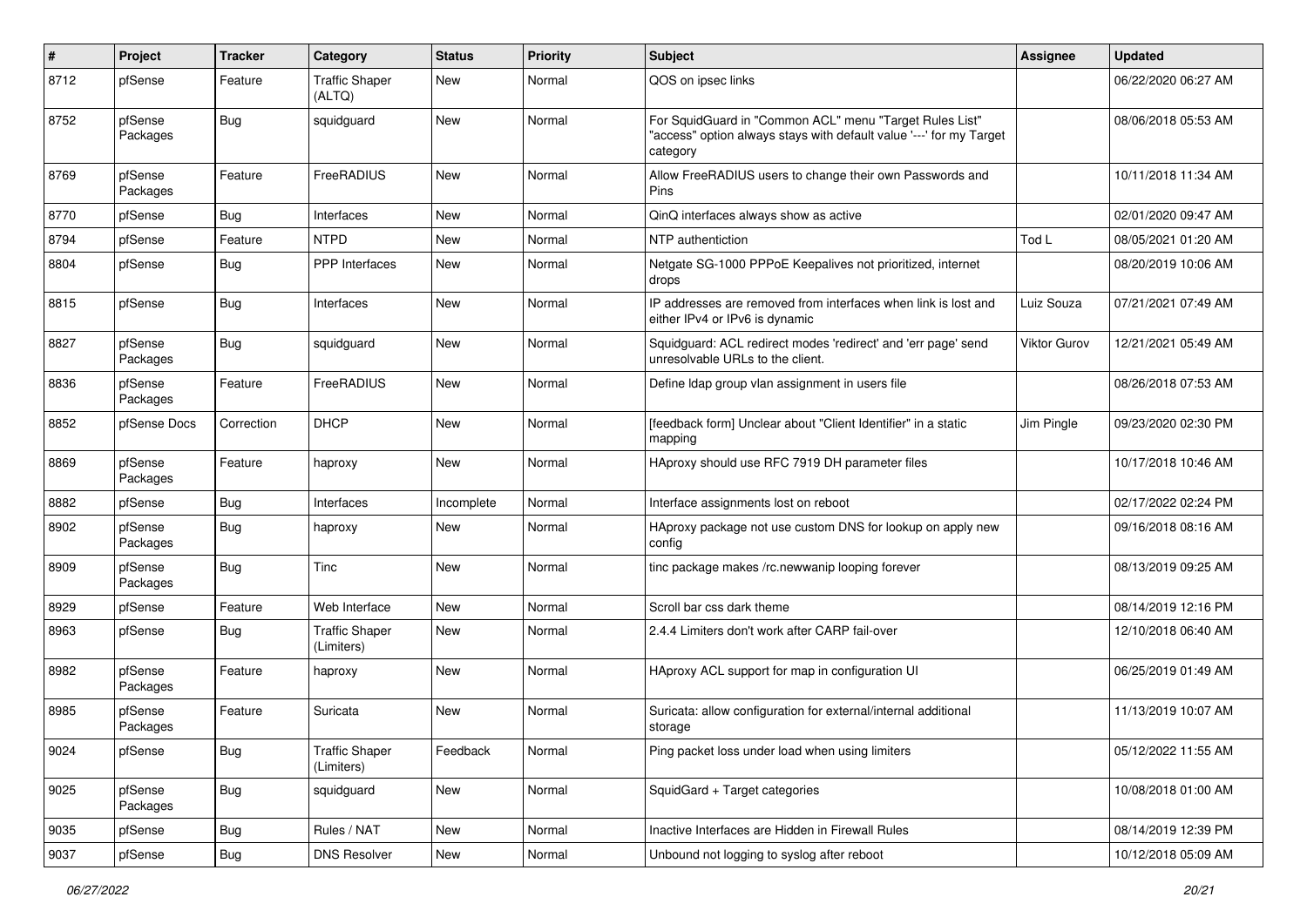| $\pmb{\#}$ | Project             | <b>Tracker</b> | Category                            | <b>Status</b> | <b>Priority</b> | <b>Subject</b>                                                                                                                             | <b>Assignee</b> | <b>Updated</b>      |
|------------|---------------------|----------------|-------------------------------------|---------------|-----------------|--------------------------------------------------------------------------------------------------------------------------------------------|-----------------|---------------------|
| 8712       | pfSense             | Feature        | <b>Traffic Shaper</b><br>(ALTQ)     | New           | Normal          | QOS on ipsec links                                                                                                                         |                 | 06/22/2020 06:27 AM |
| 8752       | pfSense<br>Packages | Bug            | squidguard                          | New           | Normal          | For SquidGuard in "Common ACL" menu "Target Rules List"<br>"access" option always stays with default value '---' for my Target<br>category |                 | 08/06/2018 05:53 AM |
| 8769       | pfSense<br>Packages | Feature        | FreeRADIUS                          | New           | Normal          | Allow FreeRADIUS users to change their own Passwords and<br>Pins                                                                           |                 | 10/11/2018 11:34 AM |
| 8770       | pfSense             | <b>Bug</b>     | Interfaces                          | <b>New</b>    | Normal          | QinQ interfaces always show as active                                                                                                      |                 | 02/01/2020 09:47 AM |
| 8794       | pfSense             | Feature        | <b>NTPD</b>                         | New           | Normal          | NTP authentiction                                                                                                                          | Tod L           | 08/05/2021 01:20 AM |
| 8804       | pfSense             | <b>Bug</b>     | <b>PPP</b> Interfaces               | New           | Normal          | Netgate SG-1000 PPPoE Keepalives not prioritized, internet<br>drops                                                                        |                 | 08/20/2019 10:06 AM |
| 8815       | pfSense             | Bug            | Interfaces                          | New           | Normal          | IP addresses are removed from interfaces when link is lost and<br>either IPv4 or IPv6 is dynamic                                           | Luiz Souza      | 07/21/2021 07:49 AM |
| 8827       | pfSense<br>Packages | Bug            | squidguard                          | <b>New</b>    | Normal          | Squidguard: ACL redirect modes 'redirect' and 'err page' send<br>unresolvable URLs to the client.                                          | Viktor Gurov    | 12/21/2021 05:49 AM |
| 8836       | pfSense<br>Packages | Feature        | FreeRADIUS                          | <b>New</b>    | Normal          | Define Idap group vlan assignment in users file                                                                                            |                 | 08/26/2018 07:53 AM |
| 8852       | pfSense Docs        | Correction     | <b>DHCP</b>                         | New           | Normal          | [feedback form] Unclear about "Client Identifier" in a static<br>mapping                                                                   | Jim Pingle      | 09/23/2020 02:30 PM |
| 8869       | pfSense<br>Packages | Feature        | haproxy                             | New           | Normal          | HAproxy should use RFC 7919 DH parameter files                                                                                             |                 | 10/17/2018 10:46 AM |
| 8882       | pfSense             | <b>Bug</b>     | Interfaces                          | Incomplete    | Normal          | Interface assignments lost on reboot                                                                                                       |                 | 02/17/2022 02:24 PM |
| 8902       | pfSense<br>Packages | Bug            | haproxy                             | New           | Normal          | HAproxy package not use custom DNS for lookup on apply new<br>config                                                                       |                 | 09/16/2018 08:16 AM |
| 8909       | pfSense<br>Packages | Bug            | Tinc                                | New           | Normal          | tinc package makes /rc.newwanip looping forever                                                                                            |                 | 08/13/2019 09:25 AM |
| 8929       | pfSense             | Feature        | Web Interface                       | <b>New</b>    | Normal          | Scroll bar css dark theme                                                                                                                  |                 | 08/14/2019 12:16 PM |
| 8963       | pfSense             | <b>Bug</b>     | <b>Traffic Shaper</b><br>(Limiters) | New           | Normal          | 2.4.4 Limiters don't work after CARP fail-over                                                                                             |                 | 12/10/2018 06:40 AM |
| 8982       | pfSense<br>Packages | Feature        | haproxy                             | New           | Normal          | HAproxy ACL support for map in configuration UI                                                                                            |                 | 06/25/2019 01:49 AM |
| 8985       | pfSense<br>Packages | Feature        | Suricata                            | New           | Normal          | Suricata: allow configuration for external/internal additional<br>storage                                                                  |                 | 11/13/2019 10:07 AM |
| 9024       | pfSense             | Bug            | <b>Traffic Shaper</b><br>(Limiters) | Feedback      | Normal          | Ping packet loss under load when using limiters                                                                                            |                 | 05/12/2022 11:55 AM |
| 9025       | pfSense<br>Packages | <b>Bug</b>     | squidguard                          | New           | Normal          | SquidGard + Target categories                                                                                                              |                 | 10/08/2018 01:00 AM |
| 9035       | pfSense             | Bug            | Rules / NAT                         | New           | Normal          | Inactive Interfaces are Hidden in Firewall Rules                                                                                           |                 | 08/14/2019 12:39 PM |
| 9037       | pfSense             | Bug            | <b>DNS Resolver</b>                 | New           | Normal          | Unbound not logging to syslog after reboot                                                                                                 |                 | 10/12/2018 05:09 AM |